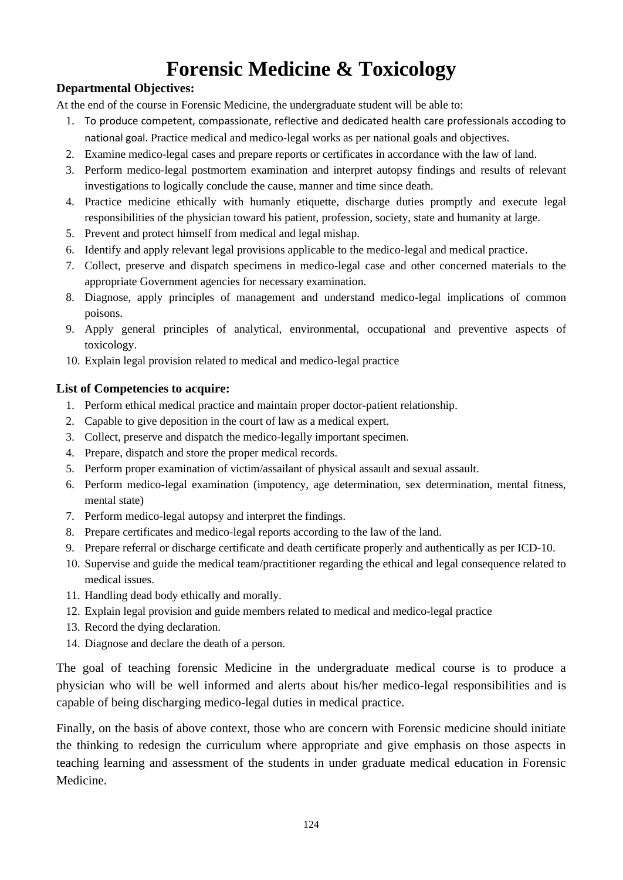# **Forensic Medicine & Toxicology**

#### **Departmental Objectives:**

At the end of the course in Forensic Medicine, the undergraduate student will be able to:

- 1. To produce competent, compassionate, reflective and dedicated health care professionals accoding to national goal. Practice medical and medico-legal works as per national goals and objectives.
- 2. Examine medico-legal cases and prepare reports or certificates in accordance with the law of land.
- 3. Perform medico-legal postmortem examination and interpret autopsy findings and results of relevant investigations to logically conclude the cause, manner and time since death.
- 4. Practice medicine ethically with humanly etiquette, discharge duties promptly and execute legal responsibilities of the physician toward his patient, profession, society, state and humanity at large.
- 5. Prevent and protect himself from medical and legal mishap.
- 6. Identify and apply relevant legal provisions applicable to the medico-legal and medical practice.
- 7. Collect, preserve and dispatch specimens in medico-legal case and other concerned materials to the appropriate Government agencies for necessary examination.
- 8. Diagnose, apply principles of management and understand medico-legal implications of common poisons.
- 9. Apply general principles of analytical, environmental, occupational and preventive aspects of toxicology.
- 10. Explain legal provision related to medical and medico-legal practice

#### **List of Competencies to acquire:**

- 1. Perform ethical medical practice and maintain proper doctor-patient relationship.
- 2. Capable to give deposition in the court of law as a medical expert.
- 3. Collect, preserve and dispatch the medico-legally important specimen.
- 4. Prepare, dispatch and store the proper medical records.
- 5. Perform proper examination of victim/assailant of physical assault and sexual assault.
- 6. Perform medico-legal examination (impotency, age determination, sex determination, mental fitness, mental state)
- 7. Perform medico-legal autopsy and interpret the findings.
- 8. Prepare certificates and medico-legal reports according to the law of the land.
- 9. Prepare referral or discharge certificate and death certificate properly and authentically as per ICD-10.
- 10. Supervise and guide the medical team/practitioner regarding the ethical and legal consequence related to medical issues.
- 11. Handling dead body ethically and morally.
- 12. Explain legal provision and guide members related to medical and medico-legal practice
- 13. Record the dying declaration.
- 14. Diagnose and declare the death of a person.

The goal of teaching forensic Medicine in the undergraduate medical course is to produce a physician who will be well informed and alerts about his/her medico-legal responsibilities and is capable of being discharging medico-legal duties in medical practice.

Finally, on the basis of above context, those who are concern with Forensic medicine should initiate the thinking to redesign the curriculum where appropriate and give emphasis on those aspects in teaching learning and assessment of the students in under graduate medical education in Forensic Medicine.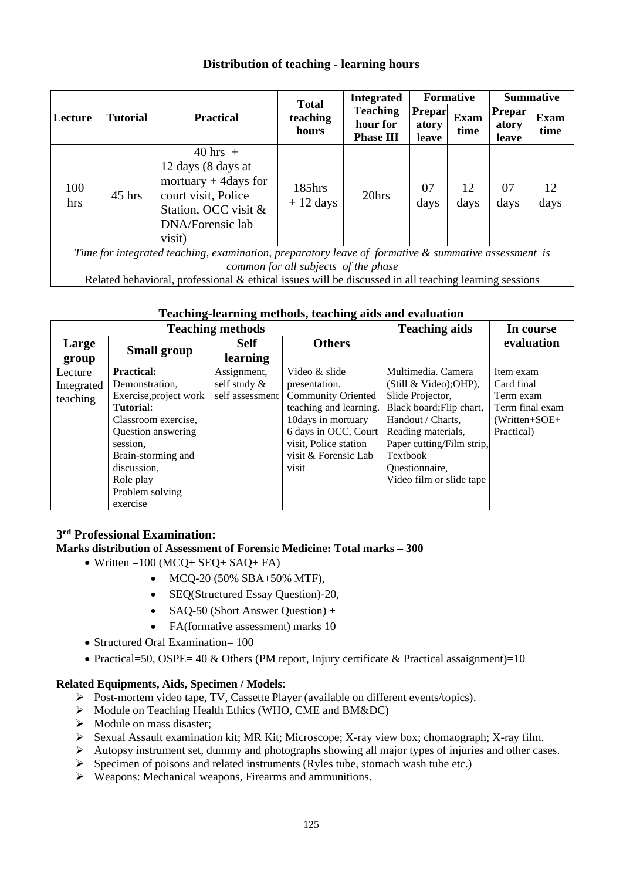#### **Distribution of teaching - learning hours**

|                                                                                                                                             |                 |                                                                                                                                                  | <b>Total</b>            | <b>Integrated</b>                               |                                 | <b>Formative</b>    |                                 | <b>Summative</b>    |
|---------------------------------------------------------------------------------------------------------------------------------------------|-----------------|--------------------------------------------------------------------------------------------------------------------------------------------------|-------------------------|-------------------------------------------------|---------------------------------|---------------------|---------------------------------|---------------------|
| Lecture                                                                                                                                     | <b>Tutorial</b> | <b>Practical</b>                                                                                                                                 | teaching<br>hours       | <b>Teaching</b><br>hour for<br><b>Phase III</b> | <b>Prepar</b><br>atory<br>leave | <b>Exam</b><br>time | <b>Prepar</b><br>atory<br>leave | <b>Exam</b><br>time |
| 100<br>hrs                                                                                                                                  | $45$ hrs        | $40 \text{ hrs} +$<br>12 days (8 days at<br>mortuary $+$ 4 days for<br>court visit, Police<br>Station, OCC visit &<br>DNA/Forensic lab<br>visit) | $185$ hrs<br>$+12$ days | 20hrs                                           | 07<br>days                      | 12<br>days          | 07<br>days                      | 12<br>days          |
| Time for integrated teaching, examination, preparatory leave of formative & summative assessment is<br>common for all subjects of the phase |                 |                                                                                                                                                  |                         |                                                 |                                 |                     |                                 |                     |
| Related behavioral, professional & ethical issues will be discussed in all teaching learning sessions                                       |                 |                                                                                                                                                  |                         |                                                 |                                 |                     |                                 |                     |

#### **Teaching-learning methods, teaching aids and evaluation**

| <b>Teaching methods</b> |                        |                 |                           | <b>Teaching aids</b>      | In course       |
|-------------------------|------------------------|-----------------|---------------------------|---------------------------|-----------------|
| Large                   |                        | <b>Self</b>     | <b>Others</b>             |                           | evaluation      |
| group                   | <b>Small group</b>     | learning        |                           |                           |                 |
| Lecture                 | <b>Practical:</b>      | Assignment,     | Video & slide             | Multimedia. Camera        | Item exam       |
| Integrated              | Demonstration.         | self study &    | presentation.             | (Still & Video); OHP),    | Card final      |
| teaching                | Exercise, project work | self assessment | <b>Community Oriented</b> | Slide Projector,          | Term exam       |
|                         | Tutorial:              |                 | teaching and learning.    | Black board; Flip chart,  | Term final exam |
|                         | Classroom exercise,    |                 | 10days in mortuary        | Handout / Charts,         | $(Written+SOE+$ |
|                         | Question answering     |                 | 6 days in OCC, Court      | Reading materials,        | Practical)      |
|                         | session,               |                 | visit, Police station     | Paper cutting/Film strip, |                 |
|                         | Brain-storming and     |                 | visit & Forensic Lab      | Textbook                  |                 |
|                         | discussion,            |                 | visit                     | Questionnaire,            |                 |
|                         | Role play              |                 |                           | Video film or slide tape  |                 |
|                         | Problem solving        |                 |                           |                           |                 |
|                         | exercise               |                 |                           |                           |                 |

#### **3 rd Professional Examination:**

#### **Marks distribution of Assessment of Forensic Medicine: Total marks – 300**

- Written =100 (MCQ+ SEQ+ SAQ+ FA)
	- MCQ-20 (50% SBA+50% MTF),
	- SEQ(Structured Essay Question)-20,
	- SAQ-50 (Short Answer Question) +
	- FA(formative assessment) marks 10
- Structured Oral Examination= 100
- Practical=50, OSPE= 40 & Others (PM report, Injury certificate & Practical assaignment)=10

#### **Related Equipments, Aids, Specimen / Models**:

- ➢ Post-mortem video tape, TV, Cassette Player (available on different events/topics).
- ➢ Module on Teaching Health Ethics (WHO, CME and BM&DC)
- ➢ Module on mass disaster;
- ➢ Sexual Assault examination kit; MR Kit; Microscope; X-ray view box; chomaograph; X-ray film.
- $\triangleright$  Autopsy instrument set, dummy and photographs showing all major types of injuries and other cases.
- ➢ Specimen of poisons and related instruments (Ryles tube, stomach wash tube etc.)
- ➢ Weapons: Mechanical weapons, Firearms and ammunitions.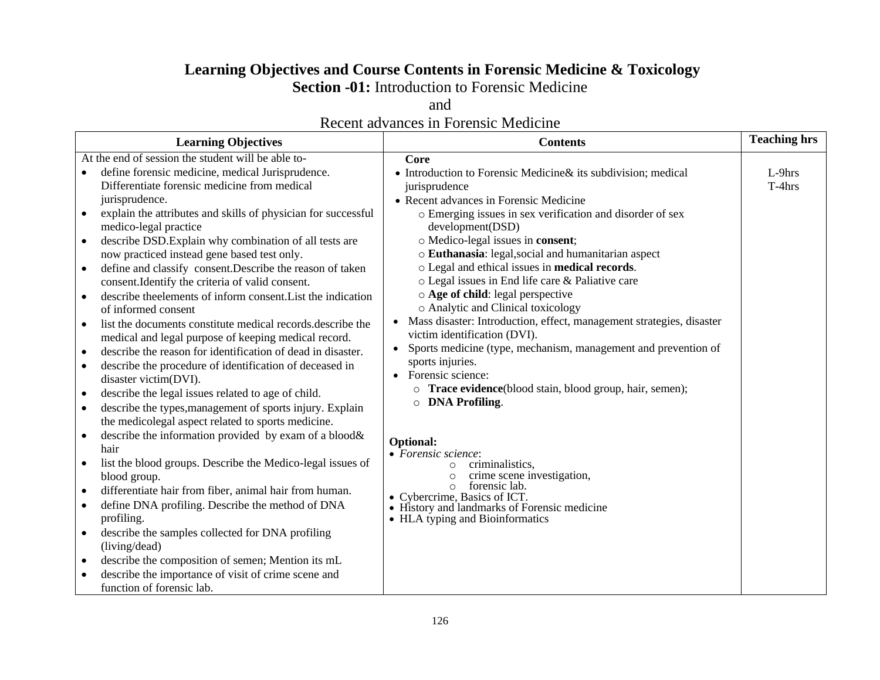# **Learning Objectives and Course Contents in Forensic Medicine & Toxicology**

**Section -01:** Introduction to Forensic Medicine

and

|                                                                                                                                                                                                                                                                                                                                                                                                                                                                                                                                                                                                                                                                                                                                                                                                                                                                                                                                                                                                                                                                                                                                                                                                                                                                                                                                                  | Recent advances in Forensic Medicine                                                                                                                                                                                                                                                                                                                                                                                                                                                                                                                                                                                                                                                                                                                                                                                                                                                                                               |                     |
|--------------------------------------------------------------------------------------------------------------------------------------------------------------------------------------------------------------------------------------------------------------------------------------------------------------------------------------------------------------------------------------------------------------------------------------------------------------------------------------------------------------------------------------------------------------------------------------------------------------------------------------------------------------------------------------------------------------------------------------------------------------------------------------------------------------------------------------------------------------------------------------------------------------------------------------------------------------------------------------------------------------------------------------------------------------------------------------------------------------------------------------------------------------------------------------------------------------------------------------------------------------------------------------------------------------------------------------------------|------------------------------------------------------------------------------------------------------------------------------------------------------------------------------------------------------------------------------------------------------------------------------------------------------------------------------------------------------------------------------------------------------------------------------------------------------------------------------------------------------------------------------------------------------------------------------------------------------------------------------------------------------------------------------------------------------------------------------------------------------------------------------------------------------------------------------------------------------------------------------------------------------------------------------------|---------------------|
| <b>Learning Objectives</b>                                                                                                                                                                                                                                                                                                                                                                                                                                                                                                                                                                                                                                                                                                                                                                                                                                                                                                                                                                                                                                                                                                                                                                                                                                                                                                                       | <b>Contents</b>                                                                                                                                                                                                                                                                                                                                                                                                                                                                                                                                                                                                                                                                                                                                                                                                                                                                                                                    | <b>Teaching hrs</b> |
| At the end of session the student will be able to-<br>define forensic medicine, medical Jurisprudence.<br>$\bullet$<br>Differentiate forensic medicine from medical<br>jurisprudence.<br>explain the attributes and skills of physician for successful<br>$\bullet$<br>medico-legal practice<br>describe DSD. Explain why combination of all tests are<br>$\bullet$<br>now practiced instead gene based test only.<br>define and classify consent. Describe the reason of taken<br>$\bullet$<br>consent. Identify the criteria of valid consent.<br>describe the elements of inform consent. List the indication<br>$\bullet$<br>of informed consent<br>list the documents constitute medical records describe the<br>$\bullet$<br>medical and legal purpose of keeping medical record.<br>describe the reason for identification of dead in disaster.<br>$\bullet$<br>describe the procedure of identification of deceased in<br>$\bullet$<br>disaster victim(DVI).<br>describe the legal issues related to age of child.<br>$\bullet$<br>describe the types, management of sports injury. Explain<br>$\bullet$<br>the medicolegal aspect related to sports medicine.<br>describe the information provided by exam of a blood &<br>$\bullet$<br>hair<br>list the blood groups. Describe the Medico-legal issues of<br>$\bullet$<br>blood group. | Core<br>• Introduction to Forensic Medicine & its subdivision; medical<br>jurisprudence<br>• Recent advances in Forensic Medicine<br>o Emerging issues in sex verification and disorder of sex<br>development(DSD)<br>o Medico-legal issues in consent;<br>o Euthanasia: legal, social and humanitarian aspect<br>o Legal and ethical issues in <b>medical records</b> .<br>o Legal issues in End life care & Paliative care<br>$\circ$ Age of child: legal perspective<br>o Analytic and Clinical toxicology<br>Mass disaster: Introduction, effect, management strategies, disaster<br>victim identification (DVI).<br>Sports medicine (type, mechanism, management and prevention of<br>sports injuries.<br>Forensic science:<br>$\bullet$<br>Trace evidence(blood stain, blood group, hair, semen);<br>O DNA Profiling.<br><b>Optional:</b><br>• Forensic science:<br>criminalistics,<br>$\circ$<br>crime scene investigation, | $L-9$ hrs<br>T-4hrs |
| differentiate hair from fiber, animal hair from human.                                                                                                                                                                                                                                                                                                                                                                                                                                                                                                                                                                                                                                                                                                                                                                                                                                                                                                                                                                                                                                                                                                                                                                                                                                                                                           | forensic lab.<br>O<br>$\sim$ 1<br>CTOIT                                                                                                                                                                                                                                                                                                                                                                                                                                                                                                                                                                                                                                                                                                                                                                                                                                                                                            |                     |

• define DNA profiling. Describe the method of DNA • Cybercrime, Basics of ICT. • History and landmarks of Forensic medicine

profiling.

(living/dead)

function of forensic lab.

• describe the samples collected for DNA profiling

• describe the composition of semen; Mention its mL • describe the importance of visit of crime scene and

• HLA typing and Bioinformatics

126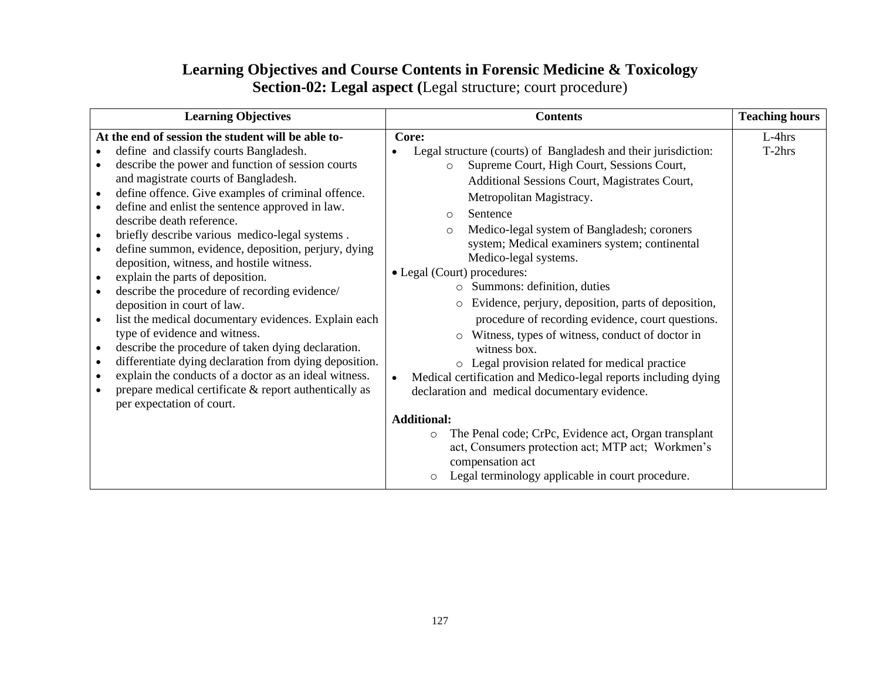## **Learning Objectives and Course Contents in Forensic Medicine & Toxicology Section-02: Legal aspect (**Legal structure; court procedure)

| <b>Learning Objectives</b>                                                                                                                                                                                                                                                                                                                                                                                                                                                                                                                                                                                                                                                                                                                                                                                                                                                                                                                                                                                                                                                                                                                 | <b>Contents</b>                                                                                                                                                                                                                                                                                                                                                                                                                                                                                                                                                                                                                                                                                                                                                                                                                                                                                                                                                                                                                                               | <b>Teaching hours</b> |
|--------------------------------------------------------------------------------------------------------------------------------------------------------------------------------------------------------------------------------------------------------------------------------------------------------------------------------------------------------------------------------------------------------------------------------------------------------------------------------------------------------------------------------------------------------------------------------------------------------------------------------------------------------------------------------------------------------------------------------------------------------------------------------------------------------------------------------------------------------------------------------------------------------------------------------------------------------------------------------------------------------------------------------------------------------------------------------------------------------------------------------------------|---------------------------------------------------------------------------------------------------------------------------------------------------------------------------------------------------------------------------------------------------------------------------------------------------------------------------------------------------------------------------------------------------------------------------------------------------------------------------------------------------------------------------------------------------------------------------------------------------------------------------------------------------------------------------------------------------------------------------------------------------------------------------------------------------------------------------------------------------------------------------------------------------------------------------------------------------------------------------------------------------------------------------------------------------------------|-----------------------|
| At the end of session the student will be able to-<br>define and classify courts Bangladesh.<br>$\bullet$<br>describe the power and function of session courts<br>$\bullet$<br>and magistrate courts of Bangladesh.<br>define offence. Give examples of criminal offence.<br>$\bullet$<br>define and enlist the sentence approved in law.<br>$\bullet$<br>describe death reference.<br>briefly describe various medico-legal systems.<br>$\bullet$<br>define summon, evidence, deposition, perjury, dying<br>$\bullet$<br>deposition, witness, and hostile witness.<br>explain the parts of deposition.<br>$\bullet$<br>describe the procedure of recording evidence/<br>$\bullet$<br>deposition in court of law.<br>list the medical documentary evidences. Explain each<br>$\bullet$<br>type of evidence and witness.<br>describe the procedure of taken dying declaration.<br>$\bullet$<br>differentiate dying declaration from dying deposition.<br>$\bullet$<br>explain the conducts of a doctor as an ideal witness.<br>$\bullet$<br>prepare medical certificate & report authentically as<br>$\bullet$<br>per expectation of court. | Core:<br>Legal structure (courts) of Bangladesh and their jurisdiction:<br>Supreme Court, High Court, Sessions Court,<br>$\circ$<br>Additional Sessions Court, Magistrates Court,<br>Metropolitan Magistracy.<br>Sentence<br>$\circ$<br>Medico-legal system of Bangladesh; coroners<br>$\Omega$<br>system; Medical examiners system; continental<br>Medico-legal systems.<br>• Legal (Court) procedures:<br>Summons: definition, duties<br>$\circ$<br>Evidence, perjury, deposition, parts of deposition,<br>$\circ$<br>procedure of recording evidence, court questions.<br>Witness, types of witness, conduct of doctor in<br>$\circ$<br>witness box.<br>o Legal provision related for medical practice<br>Medical certification and Medico-legal reports including dying<br>declaration and medical documentary evidence.<br><b>Additional:</b><br>The Penal code; CrPc, Evidence act, Organ transplant<br>$\circ$<br>act, Consumers protection act; MTP act; Workmen's<br>compensation act<br>Legal terminology applicable in court procedure.<br>$\circ$ | $L-4hrs$<br>T-2hrs    |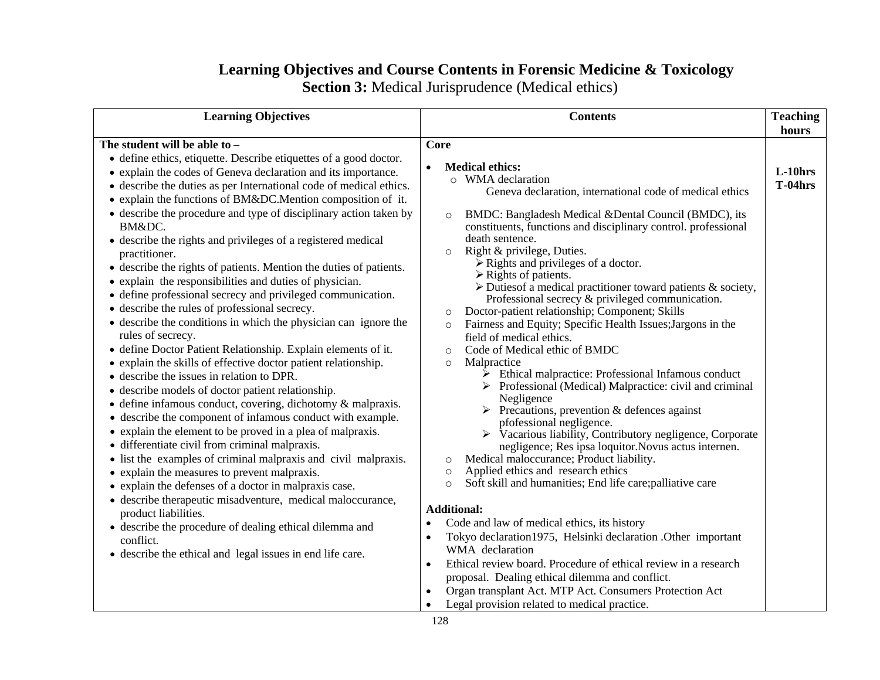# **Learning Objectives and Course Contents in Forensic Medicine & Toxicology**

**Section 3:** Medical Jurisprudence (Medical ethics)

| <b>Learning Objectives</b>                                                                                                                                                                                                                                                                                                                                                                                                                                                                                                                                                                                                                                                                                                                                                                                                                                                                                                                                                                                                                                                                                                                                                                                                                                                                                                                                                                                                                                                                                                                                                                                                                                                                                        | <b>Contents</b>                                                                                                                                                                                                                                                                                                                                                                                                                                                                                                                                                                                                                                                                                                                                                                                                                                                                                                                                                                                                                                                                                                                                                                                                                                                                                                                                                                                                                                                                                                                                                                                                                                                                                                                                            | <b>Teaching</b><br>hours |
|-------------------------------------------------------------------------------------------------------------------------------------------------------------------------------------------------------------------------------------------------------------------------------------------------------------------------------------------------------------------------------------------------------------------------------------------------------------------------------------------------------------------------------------------------------------------------------------------------------------------------------------------------------------------------------------------------------------------------------------------------------------------------------------------------------------------------------------------------------------------------------------------------------------------------------------------------------------------------------------------------------------------------------------------------------------------------------------------------------------------------------------------------------------------------------------------------------------------------------------------------------------------------------------------------------------------------------------------------------------------------------------------------------------------------------------------------------------------------------------------------------------------------------------------------------------------------------------------------------------------------------------------------------------------------------------------------------------------|------------------------------------------------------------------------------------------------------------------------------------------------------------------------------------------------------------------------------------------------------------------------------------------------------------------------------------------------------------------------------------------------------------------------------------------------------------------------------------------------------------------------------------------------------------------------------------------------------------------------------------------------------------------------------------------------------------------------------------------------------------------------------------------------------------------------------------------------------------------------------------------------------------------------------------------------------------------------------------------------------------------------------------------------------------------------------------------------------------------------------------------------------------------------------------------------------------------------------------------------------------------------------------------------------------------------------------------------------------------------------------------------------------------------------------------------------------------------------------------------------------------------------------------------------------------------------------------------------------------------------------------------------------------------------------------------------------------------------------------------------------|--------------------------|
| The student will be able to -<br>• define ethics, etiquette. Describe etiquettes of a good doctor.<br>• explain the codes of Geneva declaration and its importance.<br>• describe the duties as per International code of medical ethics.<br>• explain the functions of BM&DC.Mention composition of it.<br>• describe the procedure and type of disciplinary action taken by<br>BM&DC.<br>• describe the rights and privileges of a registered medical<br>practitioner.<br>• describe the rights of patients. Mention the duties of patients.<br>• explain the responsibilities and duties of physician.<br>• define professional secrecy and privileged communication.<br>• describe the rules of professional secrecy.<br>• describe the conditions in which the physician can ignore the<br>rules of secrecy.<br>· define Doctor Patient Relationship. Explain elements of it.<br>• explain the skills of effective doctor patient relationship.<br>• describe the issues in relation to DPR.<br>• describe models of doctor patient relationship.<br>$\bullet$ define infamous conduct, covering, dichotomy & malpraxis.<br>• describe the component of infamous conduct with example.<br>• explain the element to be proved in a plea of malpraxis.<br>• differentiate civil from criminal malpraxis.<br>• list the examples of criminal malpraxis and civil malpraxis.<br>• explain the measures to prevent malpraxis.<br>• explain the defenses of a doctor in malpraxis case.<br>· describe therapeutic misadventure, medical maloccurance,<br>product liabilities.<br>• describe the procedure of dealing ethical dilemma and<br>conflict.<br>• describe the ethical and legal issues in end life care. | Core<br><b>Medical ethics:</b><br>o WMA declaration<br>Geneva declaration, international code of medical ethics<br>BMDC: Bangladesh Medical & Dental Council (BMDC), its<br>$\circ$<br>constituents, functions and disciplinary control. professional<br>death sentence.<br>Right & privilege, Duties.<br>$\circ$<br>$\triangleright$ Rights and privileges of a doctor.<br>$\triangleright$ Rights of patients.<br>$\triangleright$ Duties of a medical practitioner toward patients & society,<br>Professional secrecy & privileged communication.<br>Doctor-patient relationship; Component; Skills<br>$\circ$<br>Fairness and Equity; Specific Health Issues; Jargons in the<br>$\circ$<br>field of medical ethics.<br>Code of Medical ethic of BMDC<br>$\circ$<br>Malpractice<br>$\circ$<br>$\triangleright$ Ethical malpractice: Professional Infamous conduct<br>> Professional (Medical) Malpractice: civil and criminal<br>Negligence<br>$\triangleright$ Precautions, prevention & defences against<br>pfofessional negligence.<br>$\triangleright$ Vacarious liability, Contributory negligence, Corporate<br>negligence; Res ipsa loquitor. Novus actus internen.<br>Medical maloccurance; Product liability.<br>$\circ$<br>Applied ethics and research ethics<br>$\circ$<br>Soft skill and humanities; End life care; palliative care<br>$\circ$<br><b>Additional:</b><br>Code and law of medical ethics, its history<br>$\bullet$<br>Tokyo declaration1975, Helsinki declaration .Other important<br>$\bullet$<br>WMA declaration<br>Ethical review board. Procedure of ethical review in a research<br>$\bullet$<br>proposal. Dealing ethical dilemma and conflict.<br>Organ transplant Act. MTP Act. Consumers Protection Act<br>$\bullet$ | $L-10$ hrs<br>$T-04hrs$  |

• Legal provision related to medical practice.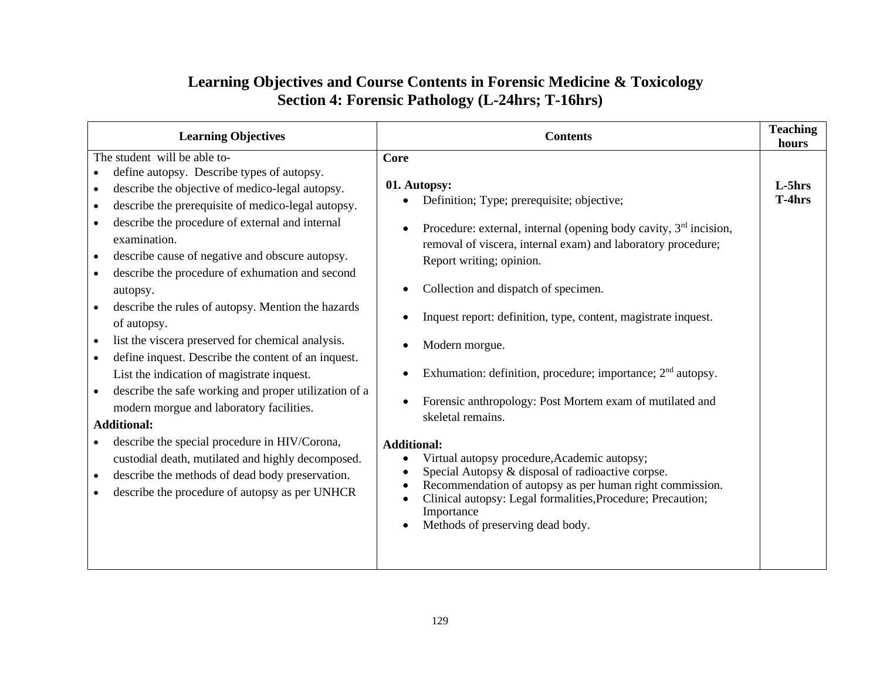## **Learning Objectives and Course Contents in Forensic Medicine & Toxicology Section 4: Forensic Pathology (L-24hrs; T-16hrs)**

| <b>Learning Objectives</b>                                                                                                                                                                                                                                                                                                                                                                                                                                                                                                                                                                                                                                                                                                                                                                                                                                                                                                                                                                                                                                                                                | <b>Contents</b>                                                                                                                                                                                                                                                                                                                                                                                                                                                                                                                                                                                                                                                                                                                                                                                                                                                                              | <b>Teaching</b><br>hours |
|-----------------------------------------------------------------------------------------------------------------------------------------------------------------------------------------------------------------------------------------------------------------------------------------------------------------------------------------------------------------------------------------------------------------------------------------------------------------------------------------------------------------------------------------------------------------------------------------------------------------------------------------------------------------------------------------------------------------------------------------------------------------------------------------------------------------------------------------------------------------------------------------------------------------------------------------------------------------------------------------------------------------------------------------------------------------------------------------------------------|----------------------------------------------------------------------------------------------------------------------------------------------------------------------------------------------------------------------------------------------------------------------------------------------------------------------------------------------------------------------------------------------------------------------------------------------------------------------------------------------------------------------------------------------------------------------------------------------------------------------------------------------------------------------------------------------------------------------------------------------------------------------------------------------------------------------------------------------------------------------------------------------|--------------------------|
| The student will be able to-<br>define autopsy. Describe types of autopsy.<br>$\bullet$<br>describe the objective of medico-legal autopsy.<br>$\bullet$<br>describe the prerequisite of medico-legal autopsy.<br>$\bullet$<br>describe the procedure of external and internal<br>$\bullet$<br>examination.<br>describe cause of negative and obscure autopsy.<br>$\bullet$<br>describe the procedure of exhumation and second<br>$\bullet$<br>autopsy.<br>describe the rules of autopsy. Mention the hazards<br>$\bullet$<br>of autopsy.<br>list the viscera preserved for chemical analysis.<br>$\bullet$<br>define inquest. Describe the content of an inquest.<br>$\bullet$<br>List the indication of magistrate inquest.<br>describe the safe working and proper utilization of a<br>$\bullet$<br>modern morgue and laboratory facilities.<br><b>Additional:</b><br>describe the special procedure in HIV/Corona,<br>custodial death, mutilated and highly decomposed.<br>describe the methods of dead body preservation.<br>$\bullet$<br>describe the procedure of autopsy as per UNHCR<br>$\bullet$ | Core<br>01. Autopsy:<br>Definition; Type; prerequisite; objective;<br>Procedure: external, internal (opening body cavity, $3rd$ incision,<br>$\bullet$<br>removal of viscera, internal exam) and laboratory procedure;<br>Report writing; opinion.<br>Collection and dispatch of specimen.<br>Inquest report: definition, type, content, magistrate inquest.<br>Modern morgue.<br>Exhumation: definition, procedure; importance; $2nd$ autopsy.<br>Forensic anthropology: Post Mortem exam of mutilated and<br>skeletal remains.<br><b>Additional:</b><br>Virtual autopsy procedure, Academic autopsy;<br>$\bullet$<br>Special Autopsy & disposal of radioactive corpse.<br>$\bullet$<br>Recommendation of autopsy as per human right commission.<br>$\bullet$<br>Clinical autopsy: Legal formalities, Procedure; Precaution;<br>$\bullet$<br>Importance<br>Methods of preserving dead body. | L-5hrs<br>T-4hrs         |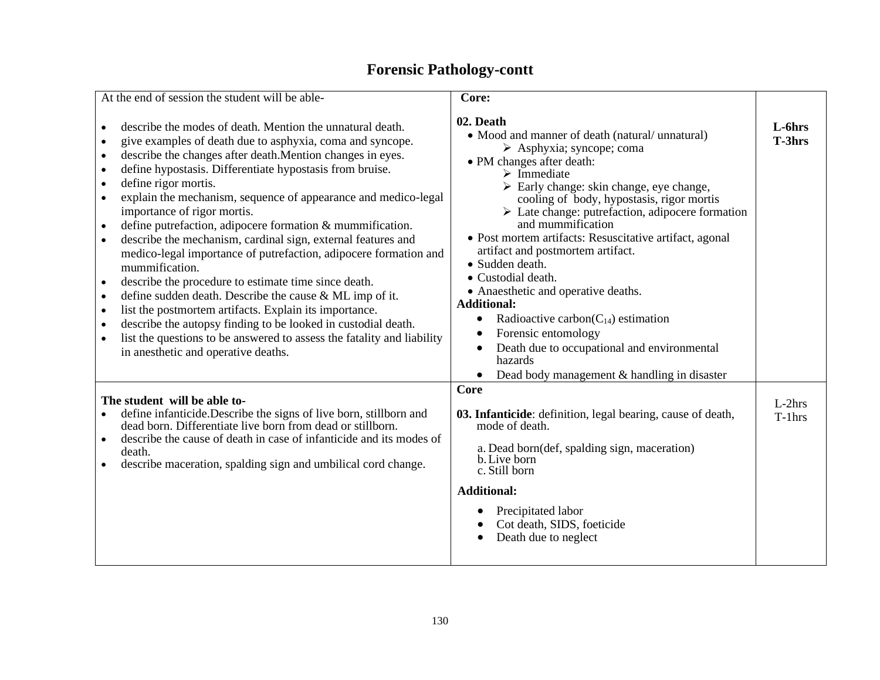# **Forensic Pathology-contt**

| At the end of session the student will be able-                                                                                                                                                                                                                                                                                                                                                                                                                                                                                                                                                                                                                                                                                                                                                                                                                                                                                                                                                                                                                                                | Core:                                                                                                                                                                                                                                                                                                                                                                                                                                                                                                                                                                                                                                                                                                                                                                                      |                       |
|------------------------------------------------------------------------------------------------------------------------------------------------------------------------------------------------------------------------------------------------------------------------------------------------------------------------------------------------------------------------------------------------------------------------------------------------------------------------------------------------------------------------------------------------------------------------------------------------------------------------------------------------------------------------------------------------------------------------------------------------------------------------------------------------------------------------------------------------------------------------------------------------------------------------------------------------------------------------------------------------------------------------------------------------------------------------------------------------|--------------------------------------------------------------------------------------------------------------------------------------------------------------------------------------------------------------------------------------------------------------------------------------------------------------------------------------------------------------------------------------------------------------------------------------------------------------------------------------------------------------------------------------------------------------------------------------------------------------------------------------------------------------------------------------------------------------------------------------------------------------------------------------------|-----------------------|
|                                                                                                                                                                                                                                                                                                                                                                                                                                                                                                                                                                                                                                                                                                                                                                                                                                                                                                                                                                                                                                                                                                |                                                                                                                                                                                                                                                                                                                                                                                                                                                                                                                                                                                                                                                                                                                                                                                            |                       |
| describe the modes of death. Mention the unnatural death.<br>give examples of death due to asphyxia, coma and syncope.<br>describe the changes after death. Mention changes in eyes.<br>$\bullet$<br>define hypostasis. Differentiate hypostasis from bruise.<br>$\bullet$<br>define rigor mortis.<br>$\bullet$<br>explain the mechanism, sequence of appearance and medico-legal<br>$\bullet$<br>importance of rigor mortis.<br>define putrefaction, adipocere formation & mummification.<br>$\bullet$<br>describe the mechanism, cardinal sign, external features and<br>$\bullet$<br>medico-legal importance of putrefaction, adipocere formation and<br>mummification.<br>describe the procedure to estimate time since death.<br>define sudden death. Describe the cause & ML imp of it.<br>$\bullet$<br>list the postmortem artifacts. Explain its importance.<br>$\bullet$<br>describe the autopsy finding to be looked in custodial death.<br>$\bullet$<br>list the questions to be answered to assess the fatality and liability<br>$\bullet$<br>in an esthetic and operative deaths. | 02. Death<br>• Mood and manner of death (natural/unnatural)<br>$\triangleright$ Asphyxia; syncope; coma<br>• PM changes after death:<br>$\triangleright$ Immediate<br>> Early change: skin change, eye change,<br>cooling of body, hypostasis, rigor mortis<br>$\triangleright$ Late change: putrefaction, adipocere formation<br>and mummification<br>• Post mortem artifacts: Resuscitative artifact, agonal<br>artifact and postmortem artifact.<br>• Sudden death.<br>• Custodial death.<br>• Anaesthetic and operative deaths.<br><b>Additional:</b><br>Radioactive carbon( $C_{14}$ ) estimation<br>$\bullet$<br>Forensic entomology<br>$\bullet$<br>Death due to occupational and environmental<br>$\bullet$<br>hazards<br>Dead body management & handling in disaster<br>$\bullet$ | L-6hrs<br>T-3hrs      |
| The student will be able to-<br>define infanticide. Describe the signs of live born, stillborn and<br>dead born. Differentiate live born from dead or stillborn.<br>describe the cause of death in case of infanticide and its modes of<br>$\bullet$<br>death.<br>describe maceration, spalding sign and umbilical cord change.<br>$\bullet$                                                                                                                                                                                                                                                                                                                                                                                                                                                                                                                                                                                                                                                                                                                                                   | Core<br>03. Infanticide: definition, legal bearing, cause of death,<br>mode of death.<br>a. Dead born(def, spalding sign, maceration)<br>b. Live born<br>c. Still born<br><b>Additional:</b><br>Precipitated labor<br>Cot death, SIDS, foeticide<br>Death due to neglect<br>$\bullet$                                                                                                                                                                                                                                                                                                                                                                                                                                                                                                      | $L-2hrs$<br>$T-1$ hrs |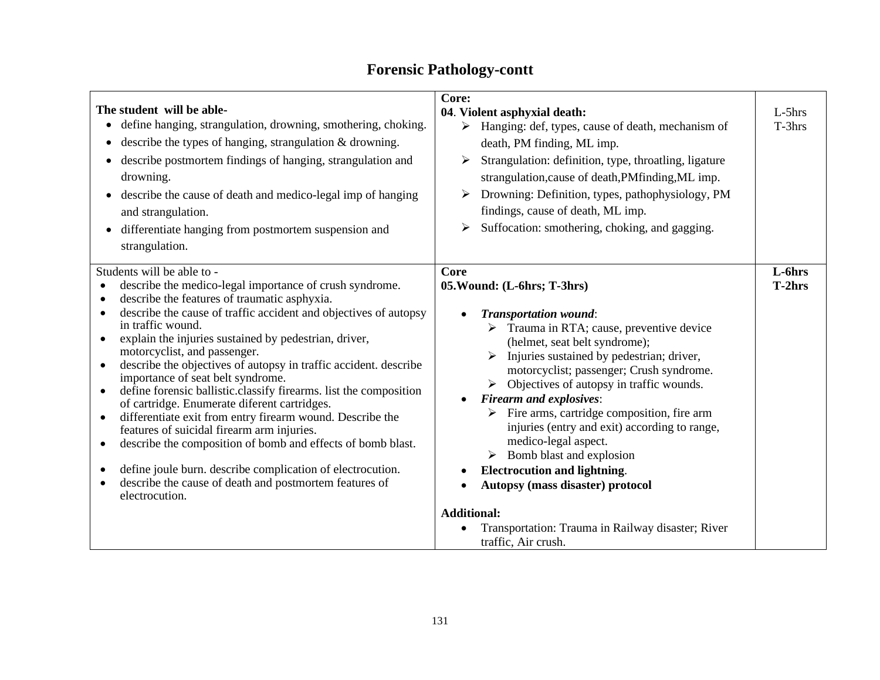| <b>Forensic Pathology-contt</b> |
|---------------------------------|
|---------------------------------|

| The student will be able-<br>define hanging, strangulation, drowning, smothering, choking.<br>$\bullet$<br>describe the types of hanging, strangulation & drowning.<br>$\bullet$<br>describe postmortem findings of hanging, strangulation and<br>drowning.<br>describe the cause of death and medico-legal imp of hanging<br>and strangulation.<br>differentiate hanging from postmortem suspension and<br>strangulation.                                                                                                                                                                                                                                                                                                                                                                                                                                                                                                                                                          | Core:<br>04. Violent asphyxial death:<br>Hanging: def, types, cause of death, mechanism of<br>➤<br>death, PM finding, ML imp.<br>Strangulation: definition, type, throatling, ligature<br>➤<br>strangulation, cause of death, PMfinding, ML imp.<br>Drowning: Definition, types, pathophysiology, PM<br>findings, cause of death, ML imp.<br>Suffocation: smothering, choking, and gagging.<br>➤                                                                                                                                                                                                                                                                                                                 | $L-5$ hrs<br>T-3hrs |
|-------------------------------------------------------------------------------------------------------------------------------------------------------------------------------------------------------------------------------------------------------------------------------------------------------------------------------------------------------------------------------------------------------------------------------------------------------------------------------------------------------------------------------------------------------------------------------------------------------------------------------------------------------------------------------------------------------------------------------------------------------------------------------------------------------------------------------------------------------------------------------------------------------------------------------------------------------------------------------------|------------------------------------------------------------------------------------------------------------------------------------------------------------------------------------------------------------------------------------------------------------------------------------------------------------------------------------------------------------------------------------------------------------------------------------------------------------------------------------------------------------------------------------------------------------------------------------------------------------------------------------------------------------------------------------------------------------------|---------------------|
| Students will be able to -<br>describe the medico-legal importance of crush syndrome.<br>$\bullet$<br>describe the features of traumatic asphyxia.<br>$\bullet$<br>describe the cause of traffic accident and objectives of autopsy<br>$\bullet$<br>in traffic wound.<br>explain the injuries sustained by pedestrian, driver,<br>$\bullet$<br>motorcyclist, and passenger.<br>describe the objectives of autopsy in traffic accident. describe<br>$\bullet$<br>importance of seat belt syndrome.<br>define forensic ballistic.classify firearms. list the composition<br>٠<br>of cartridge. Enumerate diferent cartridges.<br>differentiate exit from entry firearm wound. Describe the<br>٠<br>features of suicidal firearm arm injuries.<br>describe the composition of bomb and effects of bomb blast.<br>٠<br>define joule burn. describe complication of electrocution.<br>$\bullet$<br>describe the cause of death and postmortem features of<br>$\bullet$<br>electrocution. | <b>Core</b><br>05. Wound: (L-6hrs; T-3hrs)<br><b>Transportation wound:</b><br>$\triangleright$ Trauma in RTA; cause, preventive device<br>(helmet, seat belt syndrome);<br>Injuries sustained by pedestrian; driver,<br>motorcyclist; passenger; Crush syndrome.<br>$\triangleright$ Objectives of autopsy in traffic wounds.<br><b>Firearm and explosives:</b><br>$\triangleright$ Fire arms, cartridge composition, fire arm<br>injuries (entry and exit) according to range,<br>medico-legal aspect.<br>Bomb blast and explosion<br><b>Electrocution and lightning.</b><br>Autopsy (mass disaster) protocol<br><b>Additional:</b><br>Transportation: Trauma in Railway disaster; River<br>traffic, Air crush. | L-6hrs<br>T-2hrs    |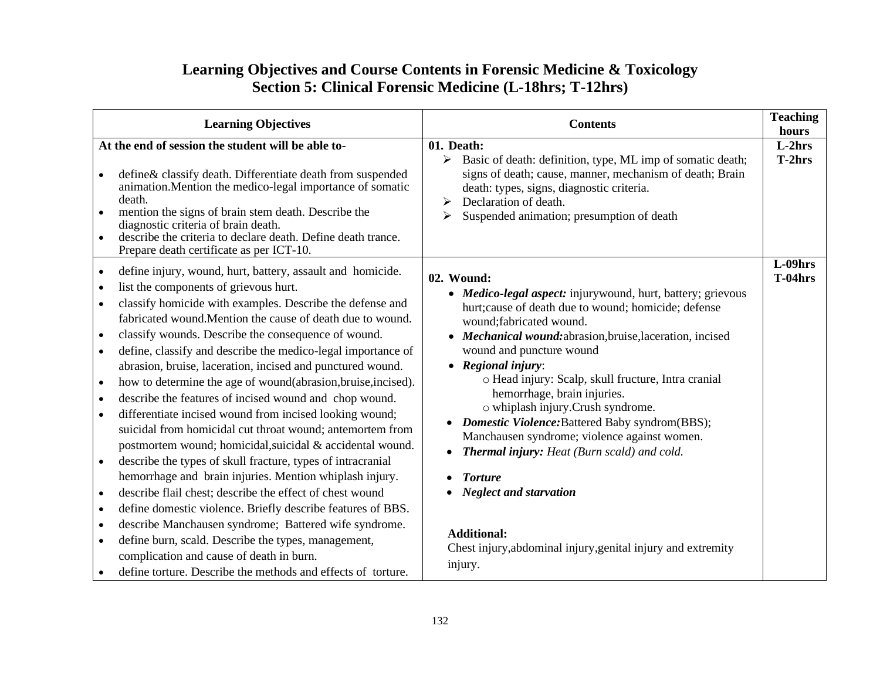## **Learning Objectives and Course Contents in Forensic Medicine & Toxicology Section 5: Clinical Forensic Medicine (L-18hrs; T-12hrs)**

| <b>Learning Objectives</b>                                                                                                                                                                                                                                                                                                                                                                                                                                                                                                                                                                                                                                                                                                                                                                                                                                                                                                                                                                                                                                                                                                                                                                                                                                                                                                                | <b>Contents</b>                                                                                                                                                                                                                                                                                                                                                                                                                                                                                                                                                                                                                                                                                                                                            | <b>Teaching</b><br>hours |
|-------------------------------------------------------------------------------------------------------------------------------------------------------------------------------------------------------------------------------------------------------------------------------------------------------------------------------------------------------------------------------------------------------------------------------------------------------------------------------------------------------------------------------------------------------------------------------------------------------------------------------------------------------------------------------------------------------------------------------------------------------------------------------------------------------------------------------------------------------------------------------------------------------------------------------------------------------------------------------------------------------------------------------------------------------------------------------------------------------------------------------------------------------------------------------------------------------------------------------------------------------------------------------------------------------------------------------------------|------------------------------------------------------------------------------------------------------------------------------------------------------------------------------------------------------------------------------------------------------------------------------------------------------------------------------------------------------------------------------------------------------------------------------------------------------------------------------------------------------------------------------------------------------------------------------------------------------------------------------------------------------------------------------------------------------------------------------------------------------------|--------------------------|
| At the end of session the student will be able to-<br>define& classify death. Differentiate death from suspended<br>$\bullet$<br>animation. Mention the medico-legal importance of somatic<br>death.<br>mention the signs of brain stem death. Describe the<br>diagnostic criteria of brain death.<br>describe the criteria to declare death. Define death trance.<br>Prepare death certificate as per ICT-10.                                                                                                                                                                                                                                                                                                                                                                                                                                                                                                                                                                                                                                                                                                                                                                                                                                                                                                                            | 01. Death:<br>Basic of death: definition, type, ML imp of somatic death;<br>➤<br>signs of death; cause, manner, mechanism of death; Brain<br>death: types, signs, diagnostic criteria.<br>Declaration of death.<br>➤<br>Suspended animation; presumption of death<br>➤                                                                                                                                                                                                                                                                                                                                                                                                                                                                                     | $L-2hrs$<br>T-2hrs       |
| define injury, wound, hurt, battery, assault and homicide.<br>$\bullet$<br>list the components of grievous hurt.<br>$\bullet$<br>classify homicide with examples. Describe the defense and<br>fabricated wound. Mention the cause of death due to wound.<br>classify wounds. Describe the consequence of wound.<br>define, classify and describe the medico-legal importance of<br>$\bullet$<br>abrasion, bruise, laceration, incised and punctured wound.<br>how to determine the age of wound(abrasion, bruise, incised).<br>$\bullet$<br>describe the features of incised wound and chop wound.<br>$\bullet$<br>differentiate incised wound from incised looking wound;<br>$\bullet$<br>suicidal from homicidal cut throat wound; antemortem from<br>postmortem wound; homicidal, suicidal & accidental wound.<br>describe the types of skull fracture, types of intracranial<br>hemorrhage and brain injuries. Mention whiplash injury.<br>describe flail chest; describe the effect of chest wound<br>define domestic violence. Briefly describe features of BBS.<br>$\bullet$<br>describe Manchausen syndrome; Battered wife syndrome.<br>$\bullet$<br>define burn, scald. Describe the types, management,<br>$\bullet$<br>complication and cause of death in burn.<br>define torture. Describe the methods and effects of torture. | 02. Wound:<br>• Medico-legal aspect: injurywound, hurt, battery; grievous<br>hurt; cause of death due to wound; homicide; defense<br>wound; fabricated wound.<br>Mechanical wound: abrasion, bruise, laceration, incised<br>wound and puncture wound<br>$\bullet$ Regional injury:<br>o Head injury: Scalp, skull fructure, Intra cranial<br>hemorrhage, brain injuries.<br>o whiplash injury.Crush syndrome.<br><b>Domestic Violence:</b> Battered Baby syndrom(BBS);<br>$\bullet$<br>Manchausen syndrome; violence against women.<br><b>Thermal injury:</b> Heat (Burn scald) and cold.<br>$\bullet$<br><b>Torture</b><br><b>Neglect and starvation</b><br><b>Additional:</b><br>Chest injury, abdominal injury, genital injury and extremity<br>injury. | $L-09$ hrs<br>$T-04hrs$  |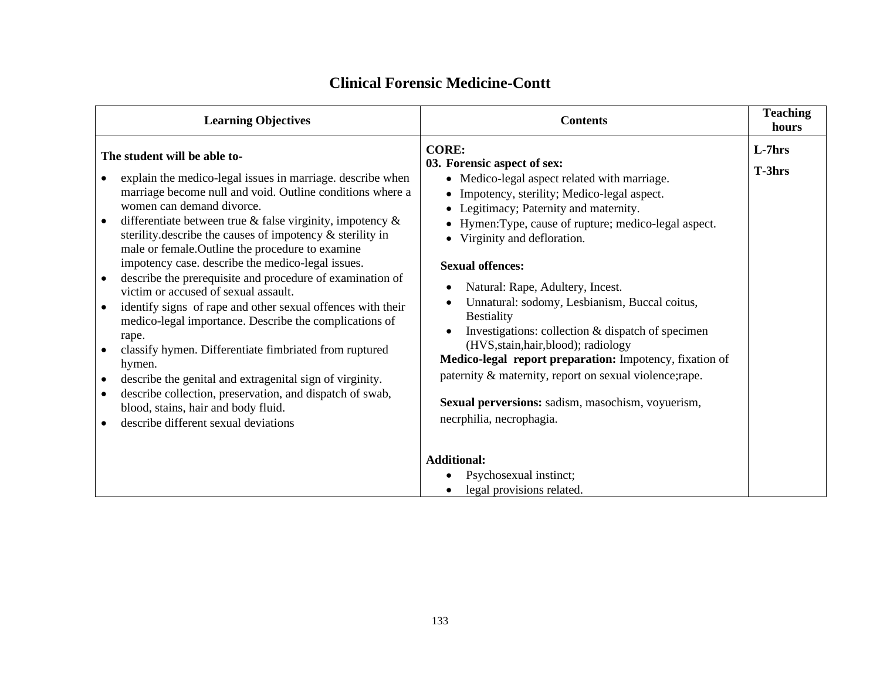| <b>Learning Objectives</b>                                                                                                                                                                                                                                                                                                                                                                                                                                                                                                                                                                                                                                                                                                                                                                                                                                                                                                                          | <b>Contents</b>                                                                                                                                                                                                                                                                                                                                                                                                                                                                                                                                                                                                                                                                                                         | <b>Teaching</b><br>hours |
|-----------------------------------------------------------------------------------------------------------------------------------------------------------------------------------------------------------------------------------------------------------------------------------------------------------------------------------------------------------------------------------------------------------------------------------------------------------------------------------------------------------------------------------------------------------------------------------------------------------------------------------------------------------------------------------------------------------------------------------------------------------------------------------------------------------------------------------------------------------------------------------------------------------------------------------------------------|-------------------------------------------------------------------------------------------------------------------------------------------------------------------------------------------------------------------------------------------------------------------------------------------------------------------------------------------------------------------------------------------------------------------------------------------------------------------------------------------------------------------------------------------------------------------------------------------------------------------------------------------------------------------------------------------------------------------------|--------------------------|
| The student will be able to-<br>explain the medico-legal issues in marriage. describe when<br>marriage become null and void. Outline conditions where a<br>women can demand divorce.<br>differentiate between true $\&$ false virginity, impotency $\&$<br>sterility. describe the causes of impotency $\&$ sterility in<br>male or female. Outline the procedure to examine<br>impotency case. describe the medico-legal issues.<br>describe the prerequisite and procedure of examination of<br>victim or accused of sexual assault.<br>identify signs of rape and other sexual offences with their<br>medico-legal importance. Describe the complications of<br>rape.<br>classify hymen. Differentiate fimbriated from ruptured<br>hymen.<br>describe the genital and extragenital sign of virginity.<br>describe collection, preservation, and dispatch of swab,<br>blood, stains, hair and body fluid.<br>describe different sexual deviations | <b>CORE:</b><br>03. Forensic aspect of sex:<br>• Medico-legal aspect related with marriage.<br>• Impotency, sterility; Medico-legal aspect.<br>• Legitimacy; Paternity and maternity.<br>• Hymen: Type, cause of rupture; medico-legal aspect.<br>• Virginity and defloration.<br><b>Sexual offences:</b><br>Natural: Rape, Adultery, Incest.<br>Unnatural: sodomy, Lesbianism, Buccal coitus,<br><b>Bestiality</b><br>Investigations: collection & dispatch of specimen<br>(HVS, stain, hair, blood); radiology<br>Medico-legal report preparation: Impotency, fixation of<br>paternity & maternity, report on sexual violence; rape.<br>Sexual perversions: sadism, masochism, voyuerism,<br>necrphilia, necrophagia. | $L-7hrs$<br>T-3hrs       |
|                                                                                                                                                                                                                                                                                                                                                                                                                                                                                                                                                                                                                                                                                                                                                                                                                                                                                                                                                     | <b>Additional:</b><br>Psychosexual instinct;<br>legal provisions related.                                                                                                                                                                                                                                                                                                                                                                                                                                                                                                                                                                                                                                               |                          |

## **Clinical Forensic Medicine-Contt**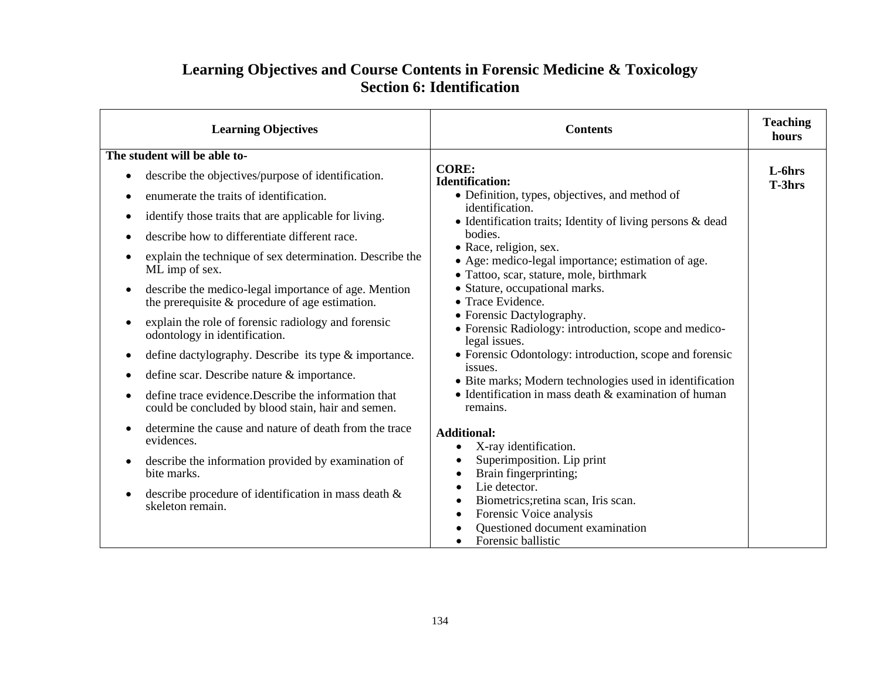## **Learning Objectives and Course Contents in Forensic Medicine & Toxicology Section 6: Identification**

| <b>Learning Objectives</b>                                                                                              | <b>Contents</b>                                                                                                                 | <b>Teaching</b><br>hours |
|-------------------------------------------------------------------------------------------------------------------------|---------------------------------------------------------------------------------------------------------------------------------|--------------------------|
| The student will be able to-                                                                                            |                                                                                                                                 |                          |
| describe the objectives/purpose of identification.<br>$\bullet$                                                         | <b>CORE:</b><br><b>Identification:</b>                                                                                          | L-6hrs<br>T-3hrs         |
| enumerate the traits of identification.<br>$\bullet$                                                                    | • Definition, types, objectives, and method of                                                                                  |                          |
| identify those traits that are applicable for living.<br>$\bullet$                                                      | identification.<br>• Identification traits; Identity of living persons $\&$ dead                                                |                          |
| describe how to differentiate different race.<br>$\bullet$                                                              | bodies.                                                                                                                         |                          |
| explain the technique of sex determination. Describe the<br>$\bullet$<br>ML imp of sex.                                 | • Race, religion, sex.<br>• Age: medico-legal importance; estimation of age.<br>· Tattoo, scar, stature, mole, birthmark        |                          |
| describe the medico-legal importance of age. Mention<br>$\bullet$<br>the prerequisite $&$ procedure of age estimation.  | • Stature, occupational marks.<br>• Trace Evidence.                                                                             |                          |
| explain the role of forensic radiology and forensic<br>$\bullet$<br>odontology in identification.                       | • Forensic Dactylography.<br>• Forensic Radiology: introduction, scope and medico-<br>legal issues.                             |                          |
| define dactylography. Describe its type & importance.<br>$\bullet$                                                      | • Forensic Odontology: introduction, scope and forensic                                                                         |                          |
| define scar. Describe nature & importance.<br>$\bullet$                                                                 | issues.<br>• Bite marks; Modern technologies used in identification                                                             |                          |
| define trace evidence. Describe the information that<br>$\bullet$<br>could be concluded by blood stain, hair and semen. | • Identification in mass death $&$ examination of human<br>remains.                                                             |                          |
| determine the cause and nature of death from the trace<br>$\bullet$<br>evidences.                                       | <b>Additional:</b><br>X-ray identification.                                                                                     |                          |
| describe the information provided by examination of<br>$\bullet$<br>bite marks.                                         | Superimposition. Lip print<br>Brain fingerprinting;<br>$\bullet$                                                                |                          |
| describe procedure of identification in mass death $\&$<br>skeleton remain.                                             | Lie detector.<br>Biometrics; retina scan, Iris scan.<br>Forensic Voice analysis<br>$\bullet$<br>Questioned document examination |                          |
|                                                                                                                         | Forensic ballistic                                                                                                              |                          |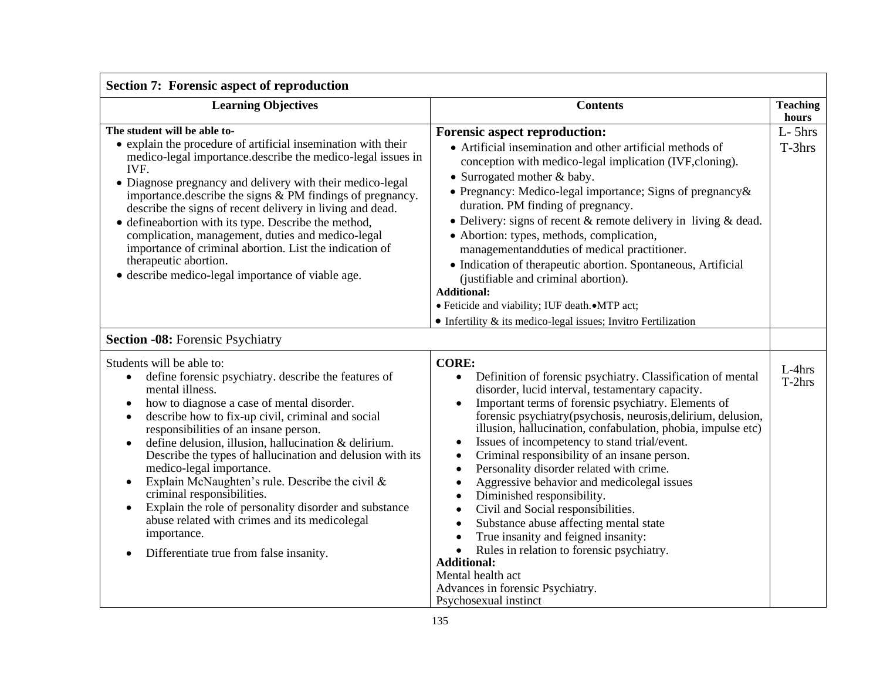| <b>Section 7: Forensic aspect of reproduction</b>                                                                                                                                                                                                                                                                                                                                                                                                                                                                                                                                                                                                                                              |                                                                                                                                                                                                                                                                                                                                                                                                                                                                                                                                                                                                                                                                                                                                                                                                                                                                                                               |                          |  |  |
|------------------------------------------------------------------------------------------------------------------------------------------------------------------------------------------------------------------------------------------------------------------------------------------------------------------------------------------------------------------------------------------------------------------------------------------------------------------------------------------------------------------------------------------------------------------------------------------------------------------------------------------------------------------------------------------------|---------------------------------------------------------------------------------------------------------------------------------------------------------------------------------------------------------------------------------------------------------------------------------------------------------------------------------------------------------------------------------------------------------------------------------------------------------------------------------------------------------------------------------------------------------------------------------------------------------------------------------------------------------------------------------------------------------------------------------------------------------------------------------------------------------------------------------------------------------------------------------------------------------------|--------------------------|--|--|
| <b>Learning Objectives</b>                                                                                                                                                                                                                                                                                                                                                                                                                                                                                                                                                                                                                                                                     | <b>Contents</b>                                                                                                                                                                                                                                                                                                                                                                                                                                                                                                                                                                                                                                                                                                                                                                                                                                                                                               | <b>Teaching</b><br>hours |  |  |
| The student will be able to-<br>• explain the procedure of artificial insemination with their<br>medico-legal importance.describe the medico-legal issues in<br>IVF.<br>• Diagnose pregnancy and delivery with their medico-legal<br>importance.describe the signs & PM findings of pregnancy.<br>describe the signs of recent delivery in living and dead.<br>• defineabortion with its type. Describe the method,<br>complication, management, duties and medico-legal<br>importance of criminal abortion. List the indication of<br>therapeutic abortion.<br>• describe medico-legal importance of viable age.                                                                              | <b>Forensic aspect reproduction:</b><br>• Artificial insemination and other artificial methods of<br>conception with medico-legal implication (IVF, cloning).<br>• Surrogated mother & baby.<br>• Pregnancy: Medico-legal importance; Signs of pregnancy &<br>duration. PM finding of pregnancy.<br>• Delivery: signs of recent $&$ remote delivery in living $&$ dead.<br>• Abortion: types, methods, complication,<br>managementandduties of medical practitioner.<br>• Indication of therapeutic abortion. Spontaneous, Artificial<br>(justifiable and criminal abortion).<br><b>Additional:</b><br>· Feticide and viability; IUF death. • MTP act;<br>$\bullet$ Infertility & its medico-legal issues; Invitro Fertilization                                                                                                                                                                              | $L-5$ hrs<br>$T-3hrs$    |  |  |
| <b>Section -08:</b> Forensic Psychiatry                                                                                                                                                                                                                                                                                                                                                                                                                                                                                                                                                                                                                                                        |                                                                                                                                                                                                                                                                                                                                                                                                                                                                                                                                                                                                                                                                                                                                                                                                                                                                                                               |                          |  |  |
| Students will be able to:<br>define forensic psychiatry. describe the features of<br>mental illness.<br>how to diagnose a case of mental disorder.<br>$\bullet$<br>describe how to fix-up civil, criminal and social<br>$\bullet$<br>responsibilities of an insane person.<br>define delusion, illusion, hallucination & delirium.<br>Describe the types of hallucination and delusion with its<br>medico-legal importance.<br>Explain McNaughten's rule. Describe the civil &<br>$\bullet$<br>criminal responsibilities.<br>Explain the role of personality disorder and substance<br>abuse related with crimes and its medicolegal<br>importance.<br>Differentiate true from false insanity. | <b>CORE:</b><br>Definition of forensic psychiatry. Classification of mental<br>$\bullet$<br>disorder, lucid interval, testamentary capacity.<br>Important terms of forensic psychiatry. Elements of<br>forensic psychiatry(psychosis, neurosis, delirium, delusion,<br>illusion, hallucination, confabulation, phobia, impulse etc)<br>Issues of incompetency to stand trial/event.<br>Criminal responsibility of an insane person.<br>٠<br>Personality disorder related with crime.<br>Aggressive behavior and medicolegal issues<br>Diminished responsibility.<br>$\bullet$<br>Civil and Social responsibilities.<br>$\bullet$<br>Substance abuse affecting mental state<br>$\bullet$<br>True insanity and feigned insanity:<br>$\bullet$<br>Rules in relation to forensic psychiatry.<br>$\bullet$<br><b>Additional:</b><br>Mental health act<br>Advances in forensic Psychiatry.<br>Psychosexual instinct | $L-4hrs$<br>$T-2hrs$     |  |  |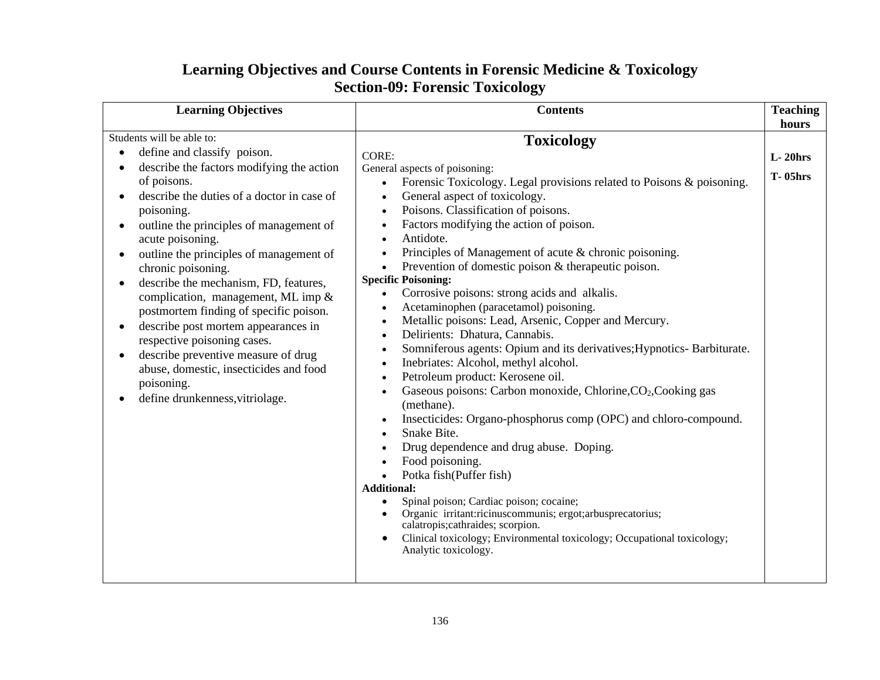| <b>Learning Objectives and Course Contents in Forensic Medicine &amp; Toxicology</b> |
|--------------------------------------------------------------------------------------|
| <b>Section-09: Forensic Toxicology</b>                                               |

| <b>Learning Objectives</b>                                                                                                                                                                                                                                                                                                                                                                                                                                                                                                                                                                                                                                     | <b>Contents</b>                                                                                                                                                                                                                                                                                                                                                                                                                                                                                                                                                                                                                                                                                                                                                                                                                                                                                                                                                                                                                                                                                                                                                                                                                                                                                                                                                                                                          | <b>Teaching</b><br>hours     |
|----------------------------------------------------------------------------------------------------------------------------------------------------------------------------------------------------------------------------------------------------------------------------------------------------------------------------------------------------------------------------------------------------------------------------------------------------------------------------------------------------------------------------------------------------------------------------------------------------------------------------------------------------------------|--------------------------------------------------------------------------------------------------------------------------------------------------------------------------------------------------------------------------------------------------------------------------------------------------------------------------------------------------------------------------------------------------------------------------------------------------------------------------------------------------------------------------------------------------------------------------------------------------------------------------------------------------------------------------------------------------------------------------------------------------------------------------------------------------------------------------------------------------------------------------------------------------------------------------------------------------------------------------------------------------------------------------------------------------------------------------------------------------------------------------------------------------------------------------------------------------------------------------------------------------------------------------------------------------------------------------------------------------------------------------------------------------------------------------|------------------------------|
| Students will be able to:<br>define and classify poison.<br>describe the factors modifying the action<br>of poisons.<br>describe the duties of a doctor in case of<br>poisoning.<br>outline the principles of management of<br>acute poisoning.<br>outline the principles of management of<br>chronic poisoning.<br>describe the mechanism, FD, features,<br>complication, management, ML imp &<br>postmortem finding of specific poison.<br>describe post mortem appearances in<br>respective poisoning cases.<br>describe preventive measure of drug<br>$\bullet$<br>abuse, domestic, insecticides and food<br>poisoning.<br>define drunkenness, vitriolage. | <b>Toxicology</b><br><b>CORE:</b><br>General aspects of poisoning:<br>Forensic Toxicology. Legal provisions related to Poisons & poisoning.<br>$\bullet$<br>General aspect of toxicology.<br>$\bullet$<br>Poisons. Classification of poisons.<br>$\bullet$<br>Factors modifying the action of poison.<br>Antidote.<br>Principles of Management of acute & chronic poisoning.<br>$\bullet$<br>Prevention of domestic poison & therapeutic poison.<br>$\bullet$<br><b>Specific Poisoning:</b><br>Corrosive poisons: strong acids and alkalis.<br>Acetaminophen (paracetamol) poisoning.<br>Metallic poisons: Lead, Arsenic, Copper and Mercury.<br>Delirients: Dhatura, Cannabis.<br>$\bullet$<br>Somniferous agents: Opium and its derivatives; Hypnotics- Barbiturate.<br>$\bullet$<br>Inebriates: Alcohol, methyl alcohol.<br>$\bullet$<br>Petroleum product: Kerosene oil.<br>Gaseous poisons: Carbon monoxide, Chlorine, CO <sub>2</sub> , Cooking gas<br>(methane).<br>Insecticides: Organo-phosphorus comp (OPC) and chloro-compound.<br>Snake Bite.<br>Drug dependence and drug abuse. Doping.<br>Food poisoning.<br>Potka fish(Puffer fish)<br><b>Additional:</b><br>Spinal poison; Cardiac poison; cocaine;<br>Organic irritant:ricinuscommunis; ergot;arbusprecatorius;<br>calatropis; cathraides; scorpion.<br>Clinical toxicology; Environmental toxicology; Occupational toxicology;<br>Analytic toxicology. | $L-20$ hrs<br><b>T-05hrs</b> |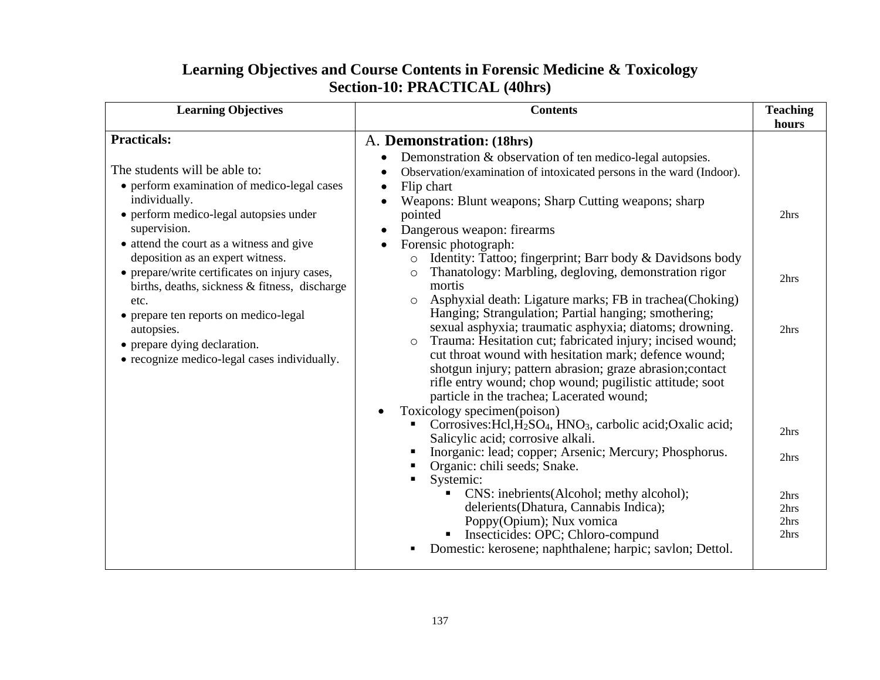| <b>Learning Objectives and Course Contents in Forensic Medicine &amp; Toxicology</b> |
|--------------------------------------------------------------------------------------|
| Section-10: PRACTICAL (40hrs)                                                        |

| <b>Learning Objectives</b>                                                                                                                                                                                                                                                                                                                                                                                                                                                                                     | <b>Contents</b>                                                                                                                                                                                                                                                                                                                                                                                                                                                                                                                                                                                                                                                                                                                                                                                                                                                                                                                                                                                                                                                                                                                                                                                                                                                                                                                                                                                                                                                  | <b>Teaching</b><br>hours                                             |
|----------------------------------------------------------------------------------------------------------------------------------------------------------------------------------------------------------------------------------------------------------------------------------------------------------------------------------------------------------------------------------------------------------------------------------------------------------------------------------------------------------------|------------------------------------------------------------------------------------------------------------------------------------------------------------------------------------------------------------------------------------------------------------------------------------------------------------------------------------------------------------------------------------------------------------------------------------------------------------------------------------------------------------------------------------------------------------------------------------------------------------------------------------------------------------------------------------------------------------------------------------------------------------------------------------------------------------------------------------------------------------------------------------------------------------------------------------------------------------------------------------------------------------------------------------------------------------------------------------------------------------------------------------------------------------------------------------------------------------------------------------------------------------------------------------------------------------------------------------------------------------------------------------------------------------------------------------------------------------------|----------------------------------------------------------------------|
| <b>Practicals:</b><br>The students will be able to:<br>• perform examination of medico-legal cases<br>individually.<br>• perform medico-legal autopsies under<br>supervision.<br>• attend the court as a witness and give<br>deposition as an expert witness.<br>• prepare/write certificates on injury cases,<br>births, deaths, sickness & fitness, discharge<br>etc.<br>• prepare ten reports on medico-legal<br>autopsies.<br>• prepare dying declaration.<br>• recognize medico-legal cases individually. | A. Demonstration: (18hrs)<br>Demonstration & observation of ten medico-legal autopsies.<br>Observation/examination of intoxicated persons in the ward (Indoor).<br>Flip chart<br>$\bullet$<br>Weapons: Blunt weapons; Sharp Cutting weapons; sharp<br>pointed<br>Dangerous weapon: firearms<br>Forensic photograph:<br>Identity: Tattoo; fingerprint; Barr body & Davidsons body<br>$\circ$<br>Thanatology: Marbling, degloving, demonstration rigor<br>$\circ$<br>mortis<br>Asphyxial death: Ligature marks; FB in trachea(Choking)<br>$\circ$<br>Hanging; Strangulation; Partial hanging; smothering;<br>sexual asphyxia; traumatic asphyxia; diatoms; drowning.<br>Trauma: Hesitation cut; fabricated injury; incised wound;<br>cut throat wound with hesitation mark; defence wound;<br>shotgun injury; pattern abrasion; graze abrasion; contact<br>rifle entry wound; chop wound; pugilistic attitude; soot<br>particle in the trachea; Lacerated wound;<br>Toxicology specimen(poison)<br>Corrosives: Hcl, H <sub>2</sub> SO <sub>4</sub> , HNO <sub>3</sub> , carbolic acid; Oxalic acid;<br>Salicylic acid; corrosive alkali.<br>Inorganic: lead; copper; Arsenic; Mercury; Phosphorus.<br>Organic: chili seeds; Snake.<br>Systemic:<br>CNS: inebrients(Alcohol; methy alcohol);<br>delerients (Dhatura, Cannabis Indica);<br>Poppy(Opium); Nux vomica<br>Insecticides: OPC; Chloro-compund<br>Domestic: kerosene; naphthalene; harpic; savlon; Dettol. | 2hrs<br>2hrs<br>2hrs<br>2hrs<br>2hrs<br>2hrs<br>2hrs<br>2hrs<br>2hrs |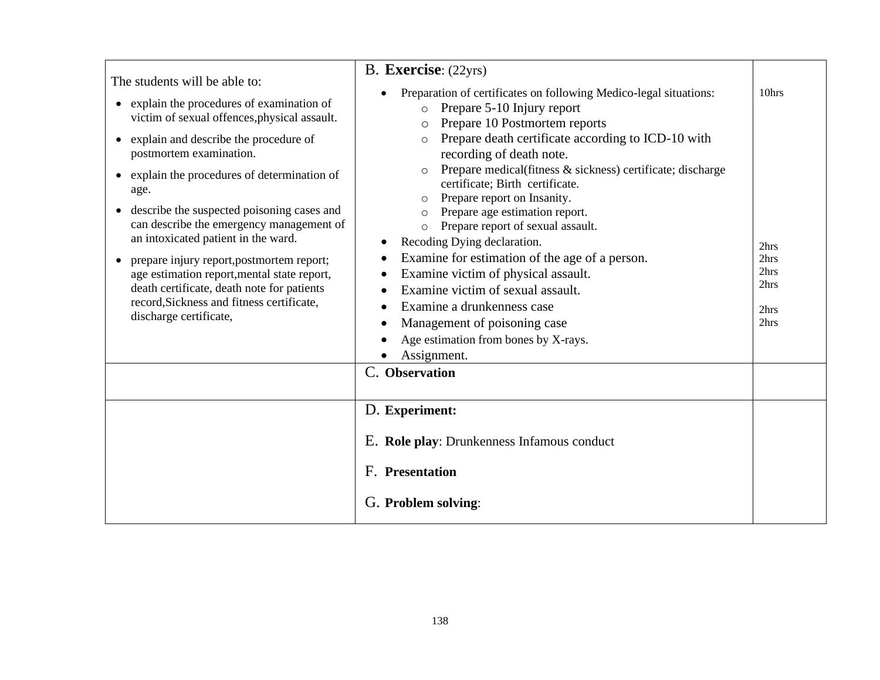| The students will be able to:<br>explain the procedures of examination of<br>$\bullet$<br>victim of sexual offences, physical assault.<br>explain and describe the procedure of<br>$\bullet$<br>postmortem examination.<br>explain the procedures of determination of<br>$\bullet$<br>age.<br>describe the suspected poisoning cases and<br>$\bullet$<br>can describe the emergency management of<br>an intoxicated patient in the ward.<br>prepare injury report, postmortem report;<br>$\bullet$<br>age estimation report, mental state report,<br>death certificate, death note for patients<br>record, Sickness and fitness certificate,<br>discharge certificate, | B. Exercise: (22yrs)<br>Preparation of certificates on following Medico-legal situations:<br>Prepare 5-10 Injury report<br>$\circ$<br>Prepare 10 Postmortem reports<br>$\circ$<br>Prepare death certificate according to ICD-10 with<br>$\Omega$<br>recording of death note.<br>Prepare medical(fitness & sickness) certificate; discharge<br>$\circ$<br>certificate; Birth certificate.<br>Prepare report on Insanity.<br>Prepare age estimation report.<br>$\circ$<br>Prepare report of sexual assault.<br>$\circ$<br>Recoding Dying declaration.<br>Examine for estimation of the age of a person.<br>Examine victim of physical assault.<br>$\bullet$<br>Examine victim of sexual assault.<br>Examine a drunkenness case<br>Management of poisoning case<br>$\bullet$<br>Age estimation from bones by X-rays. | 10hrs<br>2hrs<br>2hrs<br>2hrs<br>2hrs<br>2hrs<br>2hrs |
|------------------------------------------------------------------------------------------------------------------------------------------------------------------------------------------------------------------------------------------------------------------------------------------------------------------------------------------------------------------------------------------------------------------------------------------------------------------------------------------------------------------------------------------------------------------------------------------------------------------------------------------------------------------------|-------------------------------------------------------------------------------------------------------------------------------------------------------------------------------------------------------------------------------------------------------------------------------------------------------------------------------------------------------------------------------------------------------------------------------------------------------------------------------------------------------------------------------------------------------------------------------------------------------------------------------------------------------------------------------------------------------------------------------------------------------------------------------------------------------------------|-------------------------------------------------------|
|                                                                                                                                                                                                                                                                                                                                                                                                                                                                                                                                                                                                                                                                        | Assignment.<br>C. Observation                                                                                                                                                                                                                                                                                                                                                                                                                                                                                                                                                                                                                                                                                                                                                                                     |                                                       |
|                                                                                                                                                                                                                                                                                                                                                                                                                                                                                                                                                                                                                                                                        | D. Experiment:<br>E. Role play: Drunkenness Infamous conduct<br>F. Presentation<br>G. Problem solving:                                                                                                                                                                                                                                                                                                                                                                                                                                                                                                                                                                                                                                                                                                            |                                                       |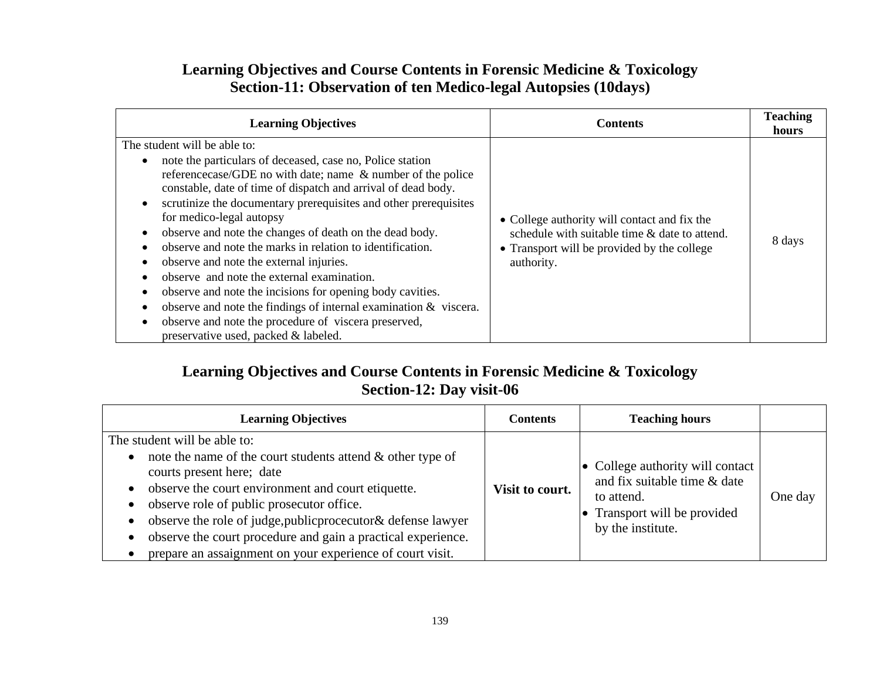## **Learning Objectives and Course Contents in Forensic Medicine & Toxicology Section-11: Observation of ten Medico-legal Autopsies (10days)**

| <b>Learning Objectives</b>                                                                                                                                                                                                                                                                                                                                                                                                                                                                                                                                                                                                                                                                                                                                                      | <b>Contents</b>                                                                                                                                            | <b>Teaching</b><br>hours |
|---------------------------------------------------------------------------------------------------------------------------------------------------------------------------------------------------------------------------------------------------------------------------------------------------------------------------------------------------------------------------------------------------------------------------------------------------------------------------------------------------------------------------------------------------------------------------------------------------------------------------------------------------------------------------------------------------------------------------------------------------------------------------------|------------------------------------------------------------------------------------------------------------------------------------------------------------|--------------------------|
| The student will be able to:<br>note the particulars of deceased, case no, Police station<br>reference case/GDE no with date; name & number of the police<br>constable, date of time of dispatch and arrival of dead body.<br>scrutinize the documentary prerequisites and other prerequisites<br>for medico-legal autopsy<br>observe and note the changes of death on the dead body.<br>observe and note the marks in relation to identification.<br>observe and note the external injuries.<br>observe and note the external examination.<br>observe and note the incisions for opening body cavities.<br>observe and note the findings of internal examination $\&$ viscera.<br>observe and note the procedure of viscera preserved,<br>preservative used, packed & labeled. | • College authority will contact and fix the<br>schedule with suitable time & date to attend.<br>• Transport will be provided by the college<br>authority. | 8 days                   |

### **Learning Objectives and Course Contents in Forensic Medicine & Toxicology Section-12: Day visit-06**

| <b>Learning Objectives</b>                                                                                                                                                                                                                                                                                                                                                                                                  | Contents        | <b>Teaching hours</b>                                                                                                                       |         |
|-----------------------------------------------------------------------------------------------------------------------------------------------------------------------------------------------------------------------------------------------------------------------------------------------------------------------------------------------------------------------------------------------------------------------------|-----------------|---------------------------------------------------------------------------------------------------------------------------------------------|---------|
| The student will be able to:<br>note the name of the court students attend $\&$ other type of<br>courts present here; date<br>observe the court environment and court etiquette.<br>observe role of public prosecutor office.<br>observe the role of judge, public procecutor & defense lawyer<br>observe the court procedure and gain a practical experience.<br>prepare an assaignment on your experience of court visit. | Visit to court. | $\bullet$ College authority will contact<br>and fix suitable time & date<br>to attend.<br>• Transport will be provided<br>by the institute. | One day |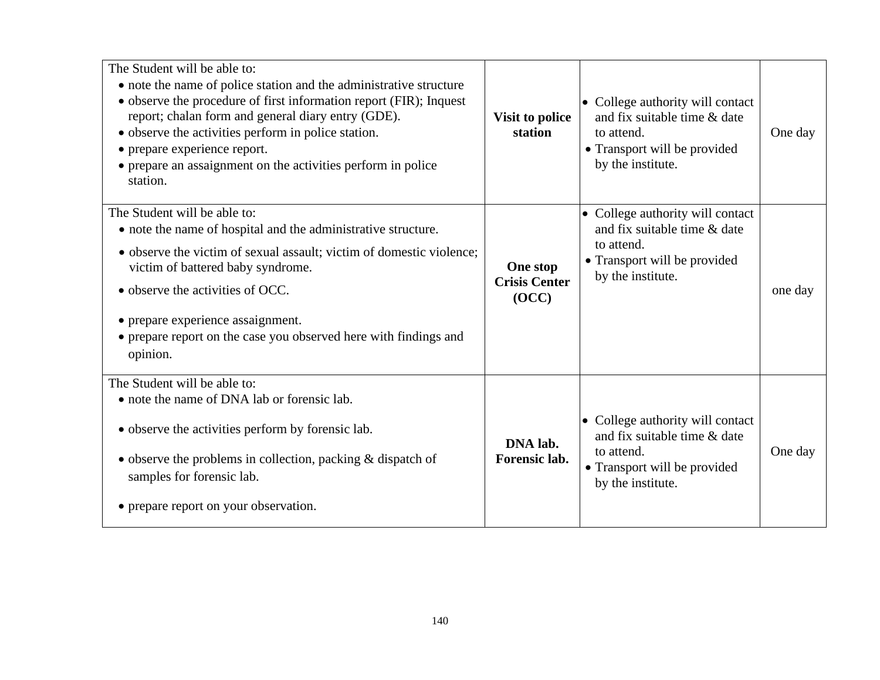| The Student will be able to:<br>• note the name of police station and the administrative structure<br>• observe the procedure of first information report (FIR); Inquest<br>report; chalan form and general diary entry (GDE).<br>• observe the activities perform in police station.<br>• prepare experience report.<br>• prepare an assaignment on the activities perform in police<br>station. | Visit to police<br>station                | • College authority will contact<br>and fix suitable time & date<br>to attend.<br>• Transport will be provided<br>by the institute. | One day |
|---------------------------------------------------------------------------------------------------------------------------------------------------------------------------------------------------------------------------------------------------------------------------------------------------------------------------------------------------------------------------------------------------|-------------------------------------------|-------------------------------------------------------------------------------------------------------------------------------------|---------|
| The Student will be able to:<br>• note the name of hospital and the administrative structure.<br>• observe the victim of sexual assault; victim of domestic violence;<br>victim of battered baby syndrome.<br>• observe the activities of OCC.<br>• prepare experience assaignment.<br>• prepare report on the case you observed here with findings and<br>opinion.                               | One stop<br><b>Crisis Center</b><br>(OCC) | • College authority will contact<br>and fix suitable time & date<br>to attend.<br>• Transport will be provided<br>by the institute. | one day |
| The Student will be able to:<br>• note the name of DNA lab or forensic lab.<br>• observe the activities perform by forensic lab.<br>$\bullet$ observe the problems in collection, packing & dispatch of<br>samples for forensic lab.<br>• prepare report on your observation.                                                                                                                     | DNA lab.<br>Forensic lab.                 | • College authority will contact<br>and fix suitable time & date<br>to attend.<br>• Transport will be provided<br>by the institute. | One day |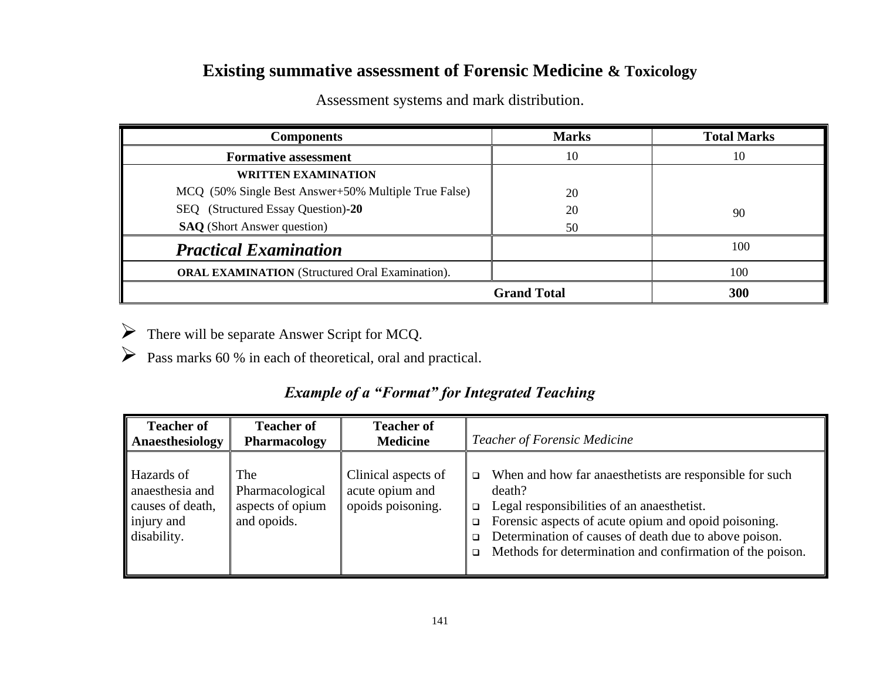# **Existing summative assessment of Forensic Medicine & Toxicology**

| <b>Components</b>                                      | <b>Marks</b> | <b>Total Marks</b> |
|--------------------------------------------------------|--------------|--------------------|
| <b>Formative assessment</b>                            | 10           | 10                 |
| <b>WRITTEN EXAMINATION</b>                             |              |                    |
| MCQ (50% Single Best Answer+50% Multiple True False)   | 20           |                    |
| SEQ (Structured Essay Question)-20                     | 20           | 90                 |
| <b>SAQ</b> (Short Answer question)                     | 50           |                    |
| <b>Practical Examination</b>                           |              | 100                |
| <b>ORAL EXAMINATION</b> (Structured Oral Examination). |              | 100                |
| <b>Grand Total</b>                                     |              | 300                |

Assessment systems and mark distribution.

➢ There will be separate Answer Script for MCQ.

➢ Pass marks 60 % in each of theoretical, oral and practical.

## *Example of a "Format" for Integrated Teaching*

| <b>Teacher of</b>                                                              | <b>Teacher of</b>                                         | <b>Teacher of</b>                                           | <b>Teacher of Forensic Medicine</b>                                                                                                                                                                                                                                                                                                             |
|--------------------------------------------------------------------------------|-----------------------------------------------------------|-------------------------------------------------------------|-------------------------------------------------------------------------------------------------------------------------------------------------------------------------------------------------------------------------------------------------------------------------------------------------------------------------------------------------|
| Anaesthesiology                                                                | Pharmacology                                              | <b>Medicine</b>                                             |                                                                                                                                                                                                                                                                                                                                                 |
| Hazards of<br>anaesthesia and<br>causes of death,<br>injury and<br>disability. | The<br>Pharmacological<br>aspects of opium<br>and opoids. | Clinical aspects of<br>acute opium and<br>opoids poisoning. | When and how far anaesthetists are responsible for such<br>$\Box$<br>death?<br>Legal responsibilities of an anaesthetist.<br>$\Box$<br>Forensic aspects of acute opium and opoid poisoning.<br>$\Box$<br>Determination of causes of death due to above poison.<br>$\Box$<br>Methods for determination and confirmation of the poison.<br>$\Box$ |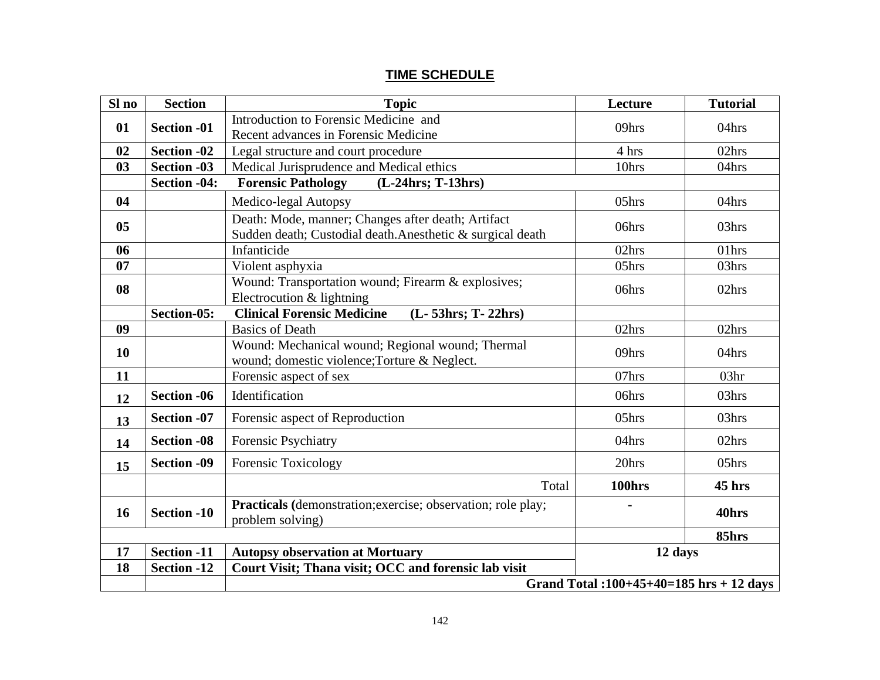#### **TIME SCHEDULE**

| Sl no | <b>Section</b>                             | <b>Topic</b>                                                                                                    | Lecture | <b>Tutorial</b>  |
|-------|--------------------------------------------|-----------------------------------------------------------------------------------------------------------------|---------|------------------|
| 01    | <b>Section -01</b>                         | Introduction to Forensic Medicine and<br>Recent advances in Forensic Medicine                                   | 09hrs   | 04hrs            |
| 02    | <b>Section -02</b>                         | Legal structure and court procedure                                                                             | 4 hrs   | 02hrs            |
| 03    | <b>Section -03</b>                         | Medical Jurisprudence and Medical ethics                                                                        | 10hrs   | 04hrs            |
|       | Section -04:                               | <b>Forensic Pathology</b><br>$(L-24hrs; T-13hrs)$                                                               |         |                  |
| 04    |                                            | Medico-legal Autopsy                                                                                            | 05hrs   | 04hrs            |
| 05    |                                            | Death: Mode, manner; Changes after death; Artifact<br>Sudden death; Custodial death.Anesthetic & surgical death | 06hrs   | 03hrs            |
| 06    |                                            | Infanticide                                                                                                     | 02hrs   | 01hrs            |
| 07    |                                            | Violent asphyxia                                                                                                | 05hrs   | 03hrs            |
| 08    |                                            | Wound: Transportation wound; Firearm & explosives;<br>Electrocution & lightning                                 | 06hrs   | 02hrs            |
|       | Section-05:                                | (L-53hrs; T-22hrs)<br><b>Clinical Forensic Medicine</b>                                                         |         |                  |
| 09    |                                            | <b>Basics of Death</b>                                                                                          | 02hrs   | 02hrs            |
| 10    |                                            | Wound: Mechanical wound; Regional wound; Thermal<br>wound; domestic violence; Torture & Neglect.                | 09hrs   | 04hrs            |
| 11    |                                            | Forensic aspect of sex                                                                                          | 07hrs   | 03 <sub>hr</sub> |
| 12    | <b>Section -06</b>                         | Identification                                                                                                  | 06hrs   | 03hrs            |
| 13    | <b>Section -07</b>                         | Forensic aspect of Reproduction                                                                                 | 05hrs   | 03hrs            |
| 14    | <b>Section -08</b>                         | Forensic Psychiatry                                                                                             | 04hrs   | 02hrs            |
| 15    | <b>Section -09</b>                         | Forensic Toxicology                                                                                             | 20hrs   | 05hrs            |
|       |                                            | Total                                                                                                           | 100hrs  | 45 hrs           |
| 16    | <b>Section -10</b>                         | Practicals (demonstration; exercise; observation; role play;<br>problem solving)                                |         | 40hrs            |
|       |                                            |                                                                                                                 |         | 85hrs            |
| 17    | <b>Section -11</b>                         | <b>Autopsy observation at Mortuary</b><br>12 days                                                               |         |                  |
| 18    | <b>Section -12</b>                         | Court Visit; Thana visit; OCC and forensic lab visit                                                            |         |                  |
|       | Grand Total: $100+45+40=185$ hrs + 12 days |                                                                                                                 |         |                  |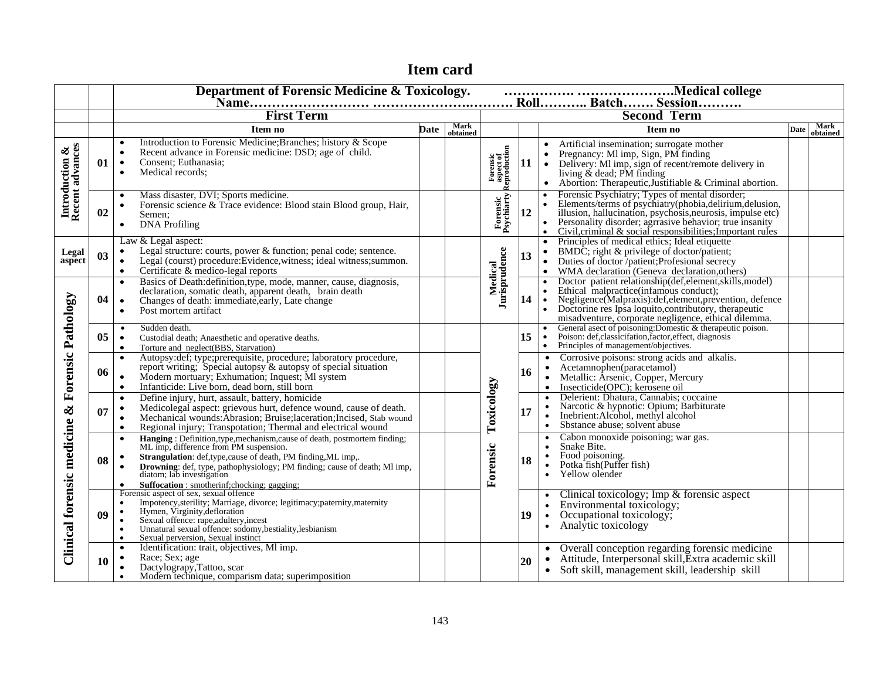|                                   | Department of Forensic Medicine & Toxicology.<br>material college |                                                                                                                                                                                                                                                                                                                                                                                                   |             |                  |                                       |    |                                                                                                                                                                                                                                                                                                                                                                                               |      |                         |  |  |
|-----------------------------------|-------------------------------------------------------------------|---------------------------------------------------------------------------------------------------------------------------------------------------------------------------------------------------------------------------------------------------------------------------------------------------------------------------------------------------------------------------------------------------|-------------|------------------|---------------------------------------|----|-----------------------------------------------------------------------------------------------------------------------------------------------------------------------------------------------------------------------------------------------------------------------------------------------------------------------------------------------------------------------------------------------|------|-------------------------|--|--|
|                                   |                                                                   | <b>First Term</b>                                                                                                                                                                                                                                                                                                                                                                                 |             |                  |                                       |    | <b>Second Term</b>                                                                                                                                                                                                                                                                                                                                                                            |      |                         |  |  |
|                                   |                                                                   | Item no                                                                                                                                                                                                                                                                                                                                                                                           | <b>Date</b> | Mark<br>obtained |                                       |    | Item no                                                                                                                                                                                                                                                                                                                                                                                       | Date | <b>Mark</b><br>obtained |  |  |
| Introduction &<br>Recent advances | 01                                                                | Introduction to Forensic Medicine; Branches; history & Scope<br>$\bullet$<br>Recent advance in Forensic medicine: DSD; age of child.<br>$\bullet$<br>Consent; Euthanasia;<br>$\bullet$<br>Medical records:<br>$\bullet$                                                                                                                                                                           |             |                  | Forensic<br>aspect of<br>Reproduction | 11 | Artificial insemination; surrogate mother<br>Pregnancy: MI imp, Sign, PM finding<br>Delivery: MI imp, sign of recent/remote delivery in<br>$\bullet$<br>living $\&$ dead; PM finding<br>Abortion: Therapeutic, Justifiable & Criminal abortion.<br>$\bullet$                                                                                                                                  |      |                         |  |  |
|                                   | 02                                                                | Mass disaster, DVI; Sports medicine.<br>$\bullet$<br>Forensic science & Trace evidence: Blood stain Blood group, Hair,<br>$\bullet$<br>Semen:<br><b>DNA</b> Profiling<br>$\bullet$                                                                                                                                                                                                                |             |                  | Forensic<br>Psychiarty                | 12 | Forensic Psychiatry; Types of mental disorder;<br>$\bullet$<br>Elements/terms of psychiatry(phobia,delirium,delusion,<br>illusion, hallucination, psychiatry(phobia,delirium,delusion,<br>illusion, hallucination, psychosis,neurosis, impulse etc)<br>Personality disorder; agrrasive behavior; true<br>$\bullet$<br>Civil, criminal & social responsibilities; Important rules<br>$\bullet$ |      |                         |  |  |
| Legal<br>aspect                   | 0 <sub>3</sub>                                                    | Law & Legal aspect:<br>Legal structure: courts, power & function; penal code; sentence.<br>$\bullet$<br>Legal (courst) procedure: Evidence, witness; ideal witness; summon.<br>$\bullet$<br>Certificate & medico-legal reports<br>$\bullet$                                                                                                                                                       |             |                  |                                       | 13 | Principles of medical ethics; Ideal etiquette<br>$\bullet$<br>$\bullet$<br>BMDC; right & privilege of doctor/patient;<br>Duties of doctor /patient; Profesional secrecy<br>$\bullet$<br>WMA declaration (Geneva declaration, others)                                                                                                                                                          |      |                         |  |  |
|                                   | 04                                                                | Basics of Death: definition, type, mode, manner, cause, diagnosis,<br>$\bullet$<br>declaration, somatic death, apparent death, brain death<br>Changes of death: immediate, early, Late change<br>$\bullet$<br>Post mortem artifact<br>$\bullet$                                                                                                                                                   |             |                  | Medical<br>Jurisprudence              | 14 | Doctor patient relationship(def, element, skills, model)<br>$\bullet$<br>Ethical malpractice(infamous conduct);<br>Negligence(Malpraxis): def, element, prevention, defence<br>$\ddot{\cdot}$<br>Doctorine res Ipsa loquito, contributory, therapeutic<br>misadventure, corporate negligence, ethical dilemma.                                                                                |      |                         |  |  |
|                                   | 05 <sup>1</sup>                                                   | Sudden death.<br>$\bullet$<br>Custodial death; Anaesthetic and operative deaths.<br>$\bullet$<br>Torture and neglect(BBS, Starvation)<br>$\bullet$                                                                                                                                                                                                                                                |             |                  |                                       | 15 | General asect of poisoning: Domestic & therapeutic poison.<br>$\bullet$<br>Poison: def, classicifation, factor, effect, diagnosis<br>$\bullet$<br>Principles of management/objectives.                                                                                                                                                                                                        |      |                         |  |  |
| <b>Forensic Pathology</b>         | 06                                                                | Autopsy:def; type;prerequisite, procedure; laboratory procedure,<br>$\bullet$<br>report writing; Special autopsy & autopsy of special situation<br>Modern mortuary; Exhumation; Inquest; MI system<br>$\bullet$<br>Infanticide: Live born, dead born, still born<br>$\bullet$                                                                                                                     |             |                  |                                       | 16 | Corrosive poisons: strong acids and alkalis.<br>$\bullet$<br>Acetamnophen(paracetamol)<br>Metallic: Arsenic, Copper, Mercury<br>$\bullet$<br>Insecticide(OPC); kerosene oil                                                                                                                                                                                                                   |      |                         |  |  |
| $\infty$                          | 07                                                                | Define injury, hurt, assault, battery, homicide<br>$\bullet$<br>Medicolegal aspect: grievous hurt, defence wound, cause of death.<br>$\bullet$<br>Mechanical wounds: Abrasion; Bruise; laceration; Incised, Stab wound<br>$\bullet$<br>Regional injury; Transpotation; Thermal and electrical wound<br>$\bullet$                                                                                  |             |                  | Toxicology                            | 17 | Delerient: Dhatura, Cannabis; coccaine<br>Narcotic & hypnotic: Opium; Barbiturate<br>$\bullet$<br>Inebrient: Alcohol, methyl alcohol<br>Sbstance abuse; solvent abuse<br>$\bullet$                                                                                                                                                                                                            |      |                         |  |  |
| Clinical forensic medicine        | 08                                                                | Hanging : Definition, type, mechanism, cause of death, postmortem finding;<br>$\bullet$<br>ML imp, difference from PM suspension.<br>Strangulation: def,type,cause of death, PM finding, ML imp,.<br>$\bullet$<br>Drowning: def, type, pathophysiology; PM finding; cause of death; Ml imp,<br>$\bullet$<br>diatom; lab investigation<br>Suffocation : smotherinf;chocking; gagging;<br>$\bullet$ |             |                  | Forensic                              | 18 | Cabon monoxide poisoning; war gas.<br>Snake Bite.<br>$\bullet$<br>Food poisoning.<br>Potka fish(Puffer fish)<br>$\bullet$<br>Yellow olender                                                                                                                                                                                                                                                   |      |                         |  |  |
|                                   | 09                                                                | Forensic aspect of sex, sexual offence<br>Impotency, sterility; Marriage, divorce; legitimacy; paternity, maternity<br>$\bullet$<br>Hymen, Virginity, defloration<br>$\bullet$<br>Sexual offence: rape, adultery, incest<br>Unnatural sexual offence: sodomy, bestiality, lesbianism<br>$\bullet$<br>Sexual perversion, Sexual instinct<br>$\bullet$                                              |             |                  |                                       | 19 | Clinical toxicology; Imp & forensic aspect<br>Environmental toxicology;<br>$\bullet$<br>Occupational toxicology;<br>Analytic toxicology<br>$\bullet$                                                                                                                                                                                                                                          |      |                         |  |  |
|                                   | <b>10</b>                                                         | Identification: trait, objectives, MI imp.<br>$\bullet$<br>Race; Sex; age<br>$\bullet$<br>Dactylograpy, Tattoo, scar<br>$\bullet$<br>Modern technique, comparism data; superimposition<br>$\bullet$                                                                                                                                                                                               |             |                  |                                       | 20 | Overall conception regarding forensic medicine<br>Attitude, Interpersonal skill, Extra academic skill<br>$\bullet$<br>Soft skill, management skill, leadership skill<br>$\bullet$                                                                                                                                                                                                             |      |                         |  |  |

# **Item card**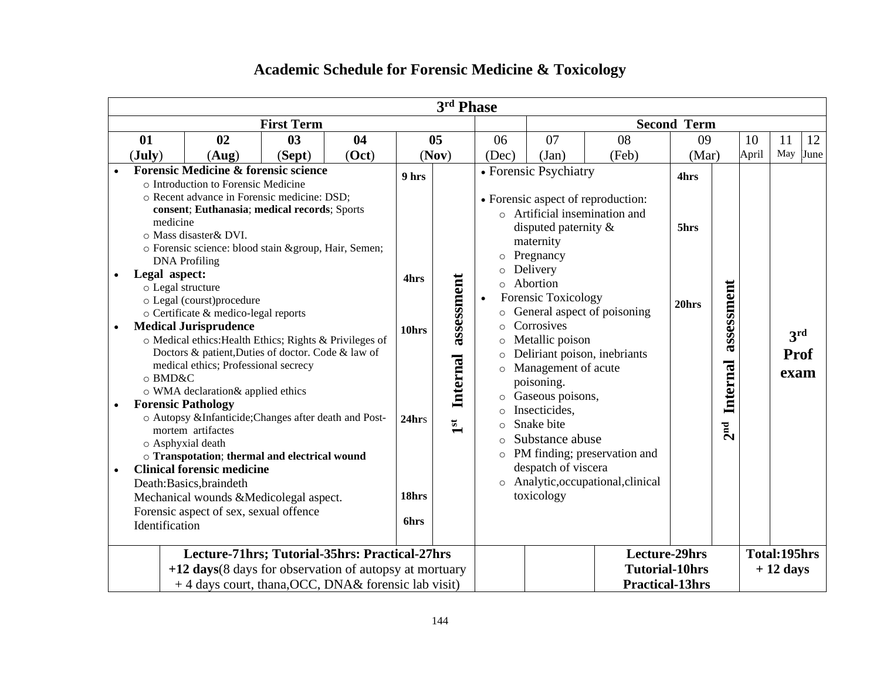| <b>First Term</b><br><b>Second Term</b><br>01<br>02<br>03<br>04<br>05<br>06<br>07<br>08<br>09<br>10<br>11<br>May<br>April<br>$(\mathbf{July})$<br>(Oct)<br>(Nov)<br>(Sept)<br>(Dec)<br>(Jan)<br>(Feb)<br>(Mar)<br>(Aug)<br><b>Forensic Medicine &amp; forensic science</b><br>• Forensic Psychiatry<br>9 hrs<br>4hrs<br>o Introduction to Forensic Medicine<br>o Recent advance in Forensic medicine: DSD;<br>• Forensic aspect of reproduction:<br>consent; Euthanasia; medical records; Sports<br>$\circ$ Artificial insemination and<br>medicine<br>disputed paternity $\&$<br>5hrs<br>o Mass disaster & DVI.<br>maternity<br>o Forensic science: blood stain &group, Hair, Semen;<br>Pregnancy<br>$\circ$<br><b>DNA</b> Profiling<br>Delivery<br>$\circ$<br>Legal aspect:<br>assessment<br>4hrs<br>Abortion<br>assessment<br>$\circ$<br>o Legal structure<br>Forensic Toxicology<br>$\bullet$<br>o Legal (courst)procedure<br>20hrs<br>General aspect of poisoning<br>o Certificate & medico-legal reports<br>$\circ$<br>Corrosives<br><b>Medical Jurisprudence</b><br>$\circ$<br>$\bullet$<br>10hrs<br>3rd<br>o Medical ethics: Health Ethics; Rights & Privileges of<br>Metallic poison<br>$\circ$<br>Doctors & patient, Duties of doctor. Code & law of<br>Deliriant poison, inebriants<br><b>Prof</b><br>$\circ$<br>Internal<br>Internal<br>medical ethics; Professional secrecy<br>o Management of acute<br>exam<br>o BMD&C<br>poisoning.<br>o WMA declaration& applied ethics<br>o Gaseous poisons,<br><b>Forensic Pathology</b><br>Insecticides,<br>$\circ$<br>o Autopsy &InfanticideChanges after death and Post-<br>24hrs<br>Snake bite<br>$\mathbf{1}^{\mathbf{st}}$<br>2 <sup>nd</sup><br>$\circ$<br>mortem artifactes<br>Substance abuse<br>$\Omega$<br>o Asphyxial death<br>o PM finding; preservation and<br>o Transpotation; thermal and electrical wound<br>despatch of viscera<br><b>Clinical forensic medicine</b><br>$\bullet$<br>o Analytic, occupational, clinical<br>Death:Basics, braindeth<br>toxicology<br>18hrs<br>Mechanical wounds &Medicolegal aspect.<br>Forensic aspect of sex, sexual offence<br><b>6hrs</b><br>Identification<br><b>Lecture-29hrs</b><br>Lecture-71hrs; Tutorial-35hrs: Practical-27hrs<br>Total:195hrs<br><b>Tutorial-10hrs</b><br>+12 days (8 days for observation of autopsy at mortuary<br>$+12$ days |  |  |  |  |  |  | 3rd Phase |  |  |  |  |  |  |  |      |
|----------------------------------------------------------------------------------------------------------------------------------------------------------------------------------------------------------------------------------------------------------------------------------------------------------------------------------------------------------------------------------------------------------------------------------------------------------------------------------------------------------------------------------------------------------------------------------------------------------------------------------------------------------------------------------------------------------------------------------------------------------------------------------------------------------------------------------------------------------------------------------------------------------------------------------------------------------------------------------------------------------------------------------------------------------------------------------------------------------------------------------------------------------------------------------------------------------------------------------------------------------------------------------------------------------------------------------------------------------------------------------------------------------------------------------------------------------------------------------------------------------------------------------------------------------------------------------------------------------------------------------------------------------------------------------------------------------------------------------------------------------------------------------------------------------------------------------------------------------------------------------------------------------------------------------------------------------------------------------------------------------------------------------------------------------------------------------------------------------------------------------------------------------------------------------------------------------------------------------------------------------------------------------------------------------------------------------------------------------------|--|--|--|--|--|--|-----------|--|--|--|--|--|--|--|------|
|                                                                                                                                                                                                                                                                                                                                                                                                                                                                                                                                                                                                                                                                                                                                                                                                                                                                                                                                                                                                                                                                                                                                                                                                                                                                                                                                                                                                                                                                                                                                                                                                                                                                                                                                                                                                                                                                                                                                                                                                                                                                                                                                                                                                                                                                                                                                                                |  |  |  |  |  |  |           |  |  |  |  |  |  |  |      |
|                                                                                                                                                                                                                                                                                                                                                                                                                                                                                                                                                                                                                                                                                                                                                                                                                                                                                                                                                                                                                                                                                                                                                                                                                                                                                                                                                                                                                                                                                                                                                                                                                                                                                                                                                                                                                                                                                                                                                                                                                                                                                                                                                                                                                                                                                                                                                                |  |  |  |  |  |  |           |  |  |  |  |  |  |  | 12   |
|                                                                                                                                                                                                                                                                                                                                                                                                                                                                                                                                                                                                                                                                                                                                                                                                                                                                                                                                                                                                                                                                                                                                                                                                                                                                                                                                                                                                                                                                                                                                                                                                                                                                                                                                                                                                                                                                                                                                                                                                                                                                                                                                                                                                                                                                                                                                                                |  |  |  |  |  |  |           |  |  |  |  |  |  |  | June |
|                                                                                                                                                                                                                                                                                                                                                                                                                                                                                                                                                                                                                                                                                                                                                                                                                                                                                                                                                                                                                                                                                                                                                                                                                                                                                                                                                                                                                                                                                                                                                                                                                                                                                                                                                                                                                                                                                                                                                                                                                                                                                                                                                                                                                                                                                                                                                                |  |  |  |  |  |  |           |  |  |  |  |  |  |  |      |
| + 4 days court, thana, OCC, DNA& forensic lab visit)<br><b>Practical-13hrs</b>                                                                                                                                                                                                                                                                                                                                                                                                                                                                                                                                                                                                                                                                                                                                                                                                                                                                                                                                                                                                                                                                                                                                                                                                                                                                                                                                                                                                                                                                                                                                                                                                                                                                                                                                                                                                                                                                                                                                                                                                                                                                                                                                                                                                                                                                                 |  |  |  |  |  |  |           |  |  |  |  |  |  |  |      |

# **Academic Schedule for Forensic Medicine & Toxicology**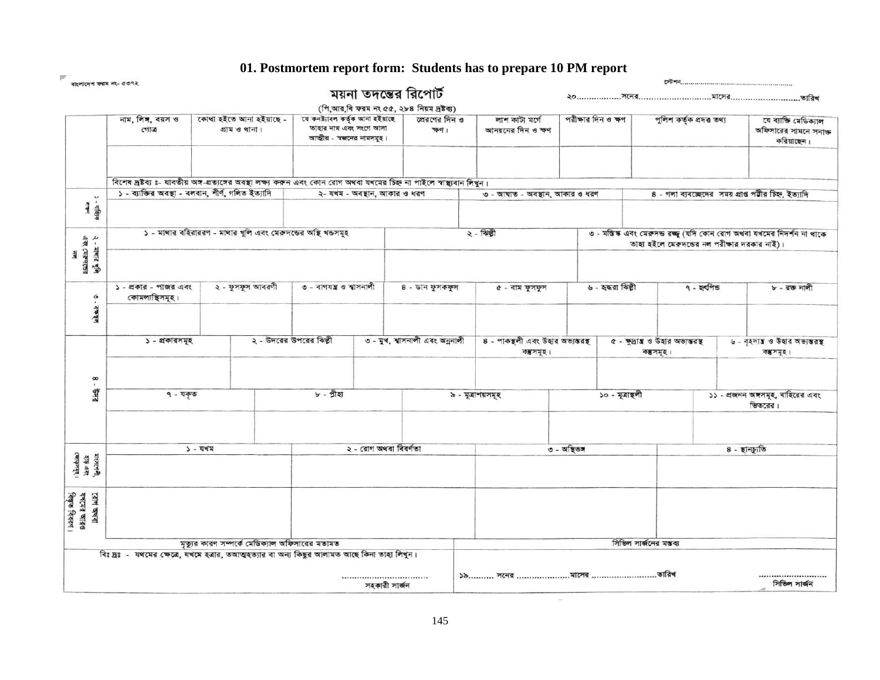**01. Postmortem report form: Students has to prepare 10 PM report**

 $\sim$ 

|                                              | বাংলাদেশ ফরম নং- ৫৩৭২                                       |                                                                                                                                                                               |                                                                                                                   |                                   |                                                 |                                      |                                            |                                                                                                                         |                                            |                                                              |  |  |
|----------------------------------------------|-------------------------------------------------------------|-------------------------------------------------------------------------------------------------------------------------------------------------------------------------------|-------------------------------------------------------------------------------------------------------------------|-----------------------------------|-------------------------------------------------|--------------------------------------|--------------------------------------------|-------------------------------------------------------------------------------------------------------------------------|--------------------------------------------|--------------------------------------------------------------|--|--|
|                                              |                                                             |                                                                                                                                                                               |                                                                                                                   |                                   | ময়না তদন্তের রিপোর্ট                           |                                      |                                            |                                                                                                                         |                                            |                                                              |  |  |
|                                              |                                                             |                                                                                                                                                                               |                                                                                                                   |                                   | (পি,আর,বি ফরম নং ৫৫, ২৮৪ নিয়ম দ্রষ্টব্য)       |                                      |                                            |                                                                                                                         |                                            |                                                              |  |  |
|                                              | নাম, লিঙ্গ, বয়স ও<br>গোত্ৰ                                 | গ্ৰাম ও থানা।                                                                                                                                                                 | কোথা হইতে আনা হইয়াছে -<br>যে কনষ্ট্যাবল কৰ্তৃক আনা হইয়াছে<br>তাহার নাম এবং সংগে আসা<br>আত্তীয় - সজনের নামসমূহ। |                                   | প্রেরণের দিন ও<br>ক্ষণ ।                        | লাশ কাটা মৰ্গে<br>আনয়নের দিন ও ক্ষণ | পরীক্ষার দিন ও ক্ষণ                        |                                                                                                                         | পুলিশ কৰ্তৃক প্ৰদত্ত তথ্য                  | যে ব্যাক্তি মেডিক্যাল<br>অফিসারের সামনে সনাক্ত<br>করিয়াছেন। |  |  |
| $\mathbf{v}$                                 |                                                             | বিশেষ দ্ৰষ্টব্য ঃ- যাবতীয় অঙ্গ-প্ৰত্যঙ্গের অবস্থা লক্ষ্ণ করুন এবং কোন রোগ অথবা যখমের চিহ্ন না পাইলে স্বাস্থ্যবান লিখুন।<br>১ - ব্যাক্তির অবস্থা - বলবান, শীর্ণ, গলিত ইত্যাদি |                                                                                                                   | ২- যখম - অবস্থান, আকার ও ধরণ      |                                                 | ৩ - আঘাত - অবস্থান, আকার ও ধরণ       |                                            |                                                                                                                         |                                            | 8 - গলা ব্যবচ্ছেদের সময় প্রাপ্ত পটীর চিহ্ন, ইত্যাদি         |  |  |
| > - 相向市                                      |                                                             |                                                                                                                                                                               |                                                                                                                   |                                   |                                                 |                                      |                                            |                                                                                                                         |                                            |                                                              |  |  |
|                                              |                                                             | ১ - মাথার বহিরাররণ - মাথার খুলি এবং মেরুদডের অস্থি খন্ডসমূহ                                                                                                                   |                                                                                                                   |                                   |                                                 | $2 - 1$ ঝল্গী                        |                                            | ৩ - মস্তিস্ক এবং মেরুদন্ড রচ্ছু (যদি কোন রোগ অথবা যখমের নিদর্শন না থাকে<br>তাহা হইলে মেরুদন্ডের নল পরীক্ষার দরকার নাই)। |                                            |                                                              |  |  |
| ২ - মাথার খুলি<br>এক্স মেরুদঙের<br>নল        |                                                             |                                                                                                                                                                               |                                                                                                                   |                                   |                                                 |                                      |                                            |                                                                                                                         |                                            |                                                              |  |  |
| $\frac{6}{1}$                                | ২ - ফুসফুস আবরণী<br>১ - প্রকার - পাজর এবং<br>কোমলাস্থিসমূহ। |                                                                                                                                                                               | ৩ - বাগযন্ত্র ও শ্বাসনালী                                                                                         |                                   | 8 - ডান ফুসকফুস                                 | ৫ - বাম ফুসফুস                       | ৬ - হন্ধরা ঝিল্পী                          |                                                                                                                         | ৭ - হৰ্পিড                                 | ৮ - রক্ত নালী                                                |  |  |
| $a\overrightarrow{a}$                        |                                                             |                                                                                                                                                                               |                                                                                                                   |                                   |                                                 |                                      |                                            |                                                                                                                         |                                            |                                                              |  |  |
|                                              | ১ - প্রকারসমূহ                                              | ২ - উদরের উপরের ঝিল্পী                                                                                                                                                        |                                                                                                                   | ७ - ग्रूथ, श्वाञनाली এবং অন্ননালী | ৪ - পাকন্থলী এবং উহার অভ্যন্তরস্থ<br>বস্তুসমূহ। |                                      | ৫ - ক্ষাস ও উহার অভ্যন্তরস্থ<br>বস্তুসমূহ। |                                                                                                                         | ৬ - বৃহদায় ও উহার অভ্যন্তর<br>বস্তু সমূহ। |                                                              |  |  |
| 8 - BMR                                      |                                                             |                                                                                                                                                                               |                                                                                                                   |                                   |                                                 |                                      |                                            |                                                                                                                         |                                            |                                                              |  |  |
|                                              | ৭ - যকৃত                                                    | ৮ - গ্ৰীহা                                                                                                                                                                    |                                                                                                                   |                                   | ৯ - মূত্রাশয়সমূহ                               |                                      | ১০ - মূত্রান্থলী                           | ১১ - প্রজনন অঙ্গসমূহ, বাহিরের এবং<br>ভিতরের।                                                                            |                                            |                                                              |  |  |
|                                              |                                                             |                                                                                                                                                                               |                                                                                                                   |                                   |                                                 |                                      |                                            |                                                                                                                         |                                            |                                                              |  |  |
| याश्तरमंत्री,<br>शङ्क अश्वर<br>रकाक्ष्ममूह । |                                                             | $5 - 33$ ম                                                                                                                                                                    |                                                                                                                   | ২ - রোগ অথবা বিবর্ণতা             |                                                 |                                      | ত-অম্ভিত <del>স</del>                      |                                                                                                                         |                                            | ৪ - স্থানচ্যুতি                                              |  |  |
| রোগ অথবা<br>ফখমের আরও<br>বিস্তৃত বিবরণ।      |                                                             |                                                                                                                                                                               |                                                                                                                   |                                   |                                                 |                                      |                                            |                                                                                                                         |                                            |                                                              |  |  |
|                                              |                                                             | মৃত্যুর কারণ সম্পর্কে মেডিক্যাল অফিসারের মতামত                                                                                                                                |                                                                                                                   |                                   |                                                 |                                      |                                            | সিভিল সার্জনের মম্ভব্য                                                                                                  |                                            |                                                              |  |  |
|                                              |                                                             | বিঃ দ্রঃ - যথমের ক্ষেত্রে, যখমে হত্রার, তআত্মহত্যার বা অন্য কিছুর আলামত আছে কিনা তাহা লিখুন।                                                                                  |                                                                                                                   |                                   |                                                 |                                      |                                            |                                                                                                                         |                                            |                                                              |  |  |
|                                              |                                                             |                                                                                                                                                                               |                                                                                                                   | <br>সহকারী সার্জন                 |                                                 | ১৯ সনের মাসের তারিখ                  |                                            |                                                                                                                         |                                            | <br>সিডিল সার্জন                                             |  |  |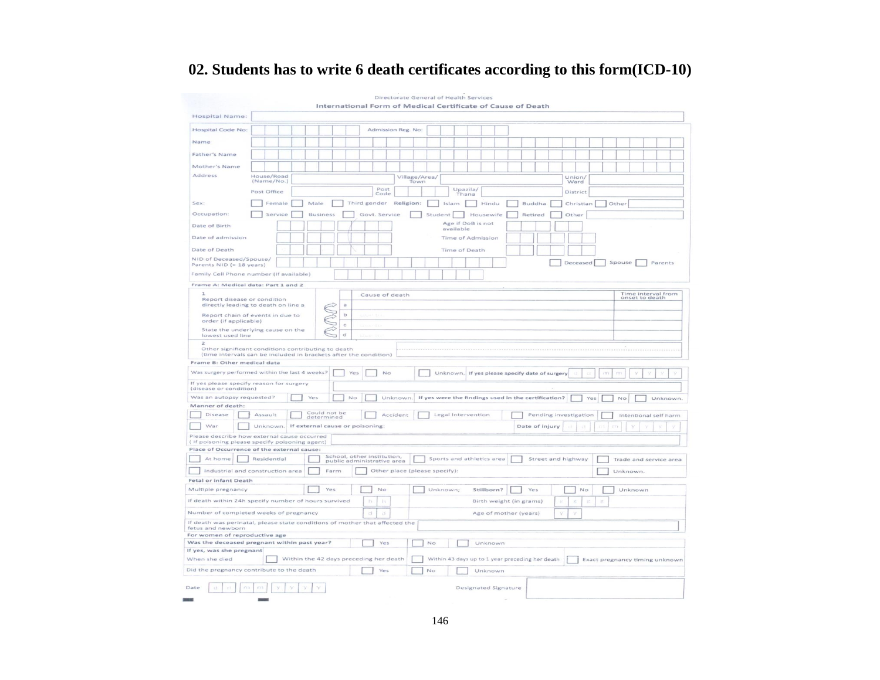# **02. Students has to write 6 death certificates according to this form(ICD-10)**

|                                                                                                                                                                 |             |   |                            |              | International Form of Medical Certificate of Cause of Death |          |                       |         |           | Directorate General of Health Services |            |                                                     |                |                       |                |     |       |        |         |                                      |
|-----------------------------------------------------------------------------------------------------------------------------------------------------------------|-------------|---|----------------------------|--------------|-------------------------------------------------------------|----------|-----------------------|---------|-----------|----------------------------------------|------------|-----------------------------------------------------|----------------|-----------------------|----------------|-----|-------|--------|---------|--------------------------------------|
| Hospital Name:                                                                                                                                                  |             |   |                            |              |                                                             |          |                       |         |           |                                        |            |                                                     |                |                       |                |     |       |        |         |                                      |
| <b>Hospital Code No:</b>                                                                                                                                        |             |   |                            |              |                                                             |          | Admission Reg. No:    |         |           |                                        |            |                                                     |                |                       |                |     |       |        |         |                                      |
| Name                                                                                                                                                            |             |   |                            |              |                                                             |          |                       |         |           |                                        |            |                                                     |                |                       |                |     |       |        |         |                                      |
| Father's Name                                                                                                                                                   |             |   |                            |              |                                                             |          |                       |         |           |                                        |            |                                                     |                |                       |                |     |       |        |         |                                      |
| Mother's Name                                                                                                                                                   |             |   |                            |              |                                                             |          |                       |         |           |                                        |            |                                                     |                |                       |                |     |       |        |         |                                      |
| Address                                                                                                                                                         | House/Road  |   |                            |              |                                                             |          |                       |         |           |                                        |            |                                                     |                |                       |                |     |       |        |         |                                      |
|                                                                                                                                                                 | (Name/No.)  |   |                            |              |                                                             |          | Village/Area/<br>Town |         |           |                                        |            |                                                     |                |                       | Union/<br>Ward |     |       |        |         |                                      |
|                                                                                                                                                                 | Post Office |   |                            |              | Post<br>Code                                                |          |                       |         |           | Upazila/<br>Thana                      |            |                                                     |                |                       | District       |     |       |        |         |                                      |
| Sex:                                                                                                                                                            | Female      |   | Male                       |              | Third gender Religion:                                      |          |                       |         | Islam     |                                        | Hindu      |                                                     | Buddha         |                       | Christian      |     | Other |        |         |                                      |
| Occupation:                                                                                                                                                     | Service     |   | <b>Business</b>            |              | Govt. Service                                               |          |                       | Student |           |                                        | Housewife  |                                                     | Retired        |                       | Other          |     |       |        |         |                                      |
| Date of Birth                                                                                                                                                   |             |   |                            |              |                                                             |          |                       |         |           | Age if DoB is not                      |            |                                                     |                |                       |                |     |       |        |         |                                      |
| Date of admission                                                                                                                                               |             |   |                            |              |                                                             |          |                       |         | available | Time of Admission                      |            |                                                     |                |                       |                |     |       |        |         |                                      |
|                                                                                                                                                                 |             |   |                            |              |                                                             |          |                       |         |           |                                        |            |                                                     |                |                       |                |     |       |        |         |                                      |
| Date of Death                                                                                                                                                   |             |   |                            |              |                                                             |          |                       |         |           | Time of Death                          |            |                                                     |                |                       |                |     |       |        |         |                                      |
| NID of Deceased/Spouse/<br>Parents NID (< 18 years)                                                                                                             |             |   |                            |              |                                                             |          |                       |         |           |                                        |            |                                                     |                |                       | Deceased       |     |       | Spouse |         | Parents                              |
| Family Cell Phone number (If available)                                                                                                                         |             |   |                            |              |                                                             |          |                       |         |           |                                        |            |                                                     |                |                       |                |     |       |        |         |                                      |
| Frame A: Medical data: Part 1 and 2                                                                                                                             |             |   |                            |              |                                                             |          |                       |         |           |                                        |            |                                                     |                |                       |                |     |       |        |         |                                      |
| $\mathbf{I}$<br>Report disease or condition                                                                                                                     |             |   |                            |              | Cause of death                                              |          |                       |         |           |                                        |            |                                                     |                |                       |                |     |       |        |         | Time interval from<br>onset to death |
| directly leading to death on line a                                                                                                                             |             |   |                            |              |                                                             |          |                       |         |           |                                        |            |                                                     |                |                       |                |     |       |        |         |                                      |
| Report chain of events in due to                                                                                                                                |             |   | DOO                        | $\mathbf b$  |                                                             |          |                       |         |           |                                        |            |                                                     |                |                       |                |     |       |        |         |                                      |
| order (if applicable)                                                                                                                                           |             |   |                            | $\mathbf{C}$ |                                                             |          |                       |         |           |                                        |            |                                                     |                |                       |                |     |       |        |         |                                      |
| State the underlying cause on the<br>lowest used line                                                                                                           |             |   |                            | $\mathbf d$  |                                                             |          |                       |         |           |                                        |            |                                                     |                |                       |                |     |       |        |         |                                      |
| $\overline{z}$<br>Other significant conditions contributing to death                                                                                            |             |   |                            |              |                                                             |          |                       |         |           |                                        |            |                                                     |                |                       |                |     |       |        |         |                                      |
| (time intervals can be included in brackets after the condition)                                                                                                |             |   |                            |              |                                                             |          |                       |         |           |                                        |            |                                                     |                |                       |                |     |       |        |         |                                      |
| Frame B: Other medical data                                                                                                                                     |             |   |                            |              |                                                             |          |                       |         |           |                                        |            |                                                     |                |                       |                |     |       |        |         |                                      |
| Was surgery performed within the last 4 weeks?                                                                                                                  |             |   |                            | Yes          |                                                             | No       |                       |         |           |                                        |            | Unknown. If yes please specify date of surgery      |                |                       |                |     | m     |        |         |                                      |
| If yes please specify reason for surgery<br>(disease or condition)                                                                                              |             |   |                            |              |                                                             |          |                       |         |           |                                        |            |                                                     |                |                       |                |     |       |        |         |                                      |
| Was an autopsy requested?                                                                                                                                       |             |   | Yes                        | No           |                                                             | Unknown. |                       |         |           |                                        |            | If yes were the findings used in the certification? |                |                       |                | Yes |       | No     |         | Unknown.                             |
| Manner of death:                                                                                                                                                |             |   |                            |              |                                                             |          |                       |         |           |                                        |            |                                                     |                |                       |                |     |       |        |         |                                      |
| Disease                                                                                                                                                         | Assault     |   | Could not be<br>determined |              |                                                             | Accident |                       |         |           | Legal Intervention                     |            |                                                     |                | Pending investigation |                |     |       |        |         | Intentional self harm                |
| War                                                                                                                                                             | Unknown.    |   |                            |              | If external cause or poisoning:                             |          |                       |         |           |                                        |            |                                                     | Date of injury |                       |                |     |       |        |         |                                      |
| Please describe how external cause occurred                                                                                                                     |             |   |                            |              |                                                             |          |                       |         |           |                                        |            |                                                     |                |                       |                |     |       |        |         |                                      |
| ( If poisoning please specify poisoning agent)<br>Place of Occurrence of the external cause:                                                                    |             |   |                            |              |                                                             |          |                       |         |           |                                        |            |                                                     |                |                       |                |     |       |        |         |                                      |
| School, other institution.<br>At home<br>Residential<br>Sports and athletics area<br>Street and highway<br>Trade and service area<br>public administrative area |             |   |                            |              |                                                             |          |                       |         |           |                                        |            |                                                     |                |                       |                |     |       |        |         |                                      |
| Industrial and construction area<br>Farm<br>Other place (please specify):<br>Unknown.                                                                           |             |   |                            |              |                                                             |          |                       |         |           |                                        |            |                                                     |                |                       |                |     |       |        |         |                                      |
| Fetal or infant Death                                                                                                                                           |             |   |                            |              |                                                             |          |                       |         |           |                                        |            |                                                     |                |                       |                |     |       |        |         |                                      |
| Multiple pregnancy                                                                                                                                              |             |   | Yes                        |              | No                                                          |          |                       |         | Unknown;  |                                        | Stillborn? |                                                     | Yes            |                       | No             |     |       |        | Unknown |                                      |
| If death within 24h specify number of hours survived<br>h<br>$\frac{1}{2}$ ).<br>Birth weight (in grams)<br>e<br>È                                              |             |   |                            |              |                                                             |          |                       |         |           |                                        |            |                                                     |                |                       |                |     |       |        |         |                                      |
| Number of completed weeks of pregnancy<br>Age of mother (years)<br>d<br>Ÿ                                                                                       |             |   |                            |              |                                                             |          |                       |         |           |                                        |            |                                                     |                |                       |                |     |       |        |         |                                      |
| If death was perinatal, please state conditions of mother that affected the                                                                                     |             |   |                            |              |                                                             |          |                       |         |           |                                        |            |                                                     |                |                       |                |     |       |        |         |                                      |
| fetus and newborn                                                                                                                                               |             |   |                            |              |                                                             |          |                       |         |           |                                        |            |                                                     |                |                       |                |     |       |        |         |                                      |
| For women of reproductive age<br>Was the deceased pregnant within past year?<br>Yes<br>No<br>Unknown                                                            |             |   |                            |              |                                                             |          |                       |         |           |                                        |            |                                                     |                |                       |                |     |       |        |         |                                      |
| If yes, was she pregnant                                                                                                                                        |             |   |                            |              |                                                             |          |                       |         |           |                                        |            |                                                     |                |                       |                |     |       |        |         |                                      |
| Within the 42 days preceding her death<br>Within 43 days up to 1 year preceding her death<br>When she died<br>Exact pregnancy timing unknown                    |             |   |                            |              |                                                             |          |                       |         |           |                                        |            |                                                     |                |                       |                |     |       |        |         |                                      |
| Did the pregnancy contribute to the death<br>Yes<br>No<br>Unknown                                                                                               |             |   |                            |              |                                                             |          |                       |         |           |                                        |            |                                                     |                |                       |                |     |       |        |         |                                      |
|                                                                                                                                                                 |             |   |                            |              |                                                             |          |                       |         |           |                                        |            |                                                     |                |                       |                |     |       |        |         |                                      |
| Date<br>ćÍ<br>na                                                                                                                                                | m           | V |                            |              |                                                             |          |                       |         |           | Designated Signature                   |            |                                                     |                |                       |                |     |       |        |         |                                      |
|                                                                                                                                                                 |             |   |                            |              |                                                             |          |                       |         |           |                                        |            |                                                     |                |                       |                |     |       |        |         |                                      |